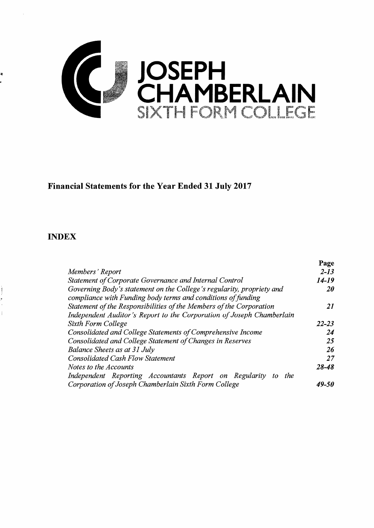

## **Financial Statements for the Year Ended 31 July 2017**

### **INDEX**

 $\overline{\phantom{a}}$ 

|                                                                                                                                       | Page      |
|---------------------------------------------------------------------------------------------------------------------------------------|-----------|
| Members' Report                                                                                                                       | $2 - 13$  |
| Statement of Corporate Governance and Internal Control                                                                                | 14-19     |
| Governing Body's statement on the College's regularity, propriety and<br>compliance with Funding body terms and conditions of funding | 20        |
| Statement of the Responsibilities of the Members of the Corporation                                                                   | 21        |
| Independent Auditor's Report to the Corporation of Joseph Chamberlain                                                                 |           |
| <b>Sixth Form College</b>                                                                                                             | $22 - 23$ |
| Consolidated and College Statements of Comprehensive Income                                                                           | 24        |
| Consolidated and College Statement of Changes in Reserves                                                                             | 25        |
| <b>Balance Sheets as at 31 July</b>                                                                                                   | 26        |
| <b>Consolidated Cash Flow Statement</b>                                                                                               | 27        |
| Notes to the Accounts                                                                                                                 | 28-48     |
| Independent Reporting Accountants Report on Regularity to the                                                                         |           |
| Corporation of Joseph Chamberlain Sixth Form College                                                                                  | 49-50     |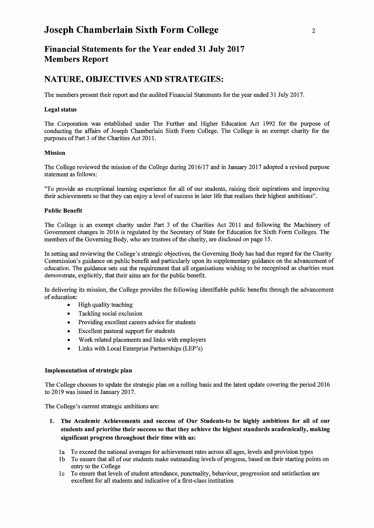## Financial Statements for the Year ended 31 July 2017 Members Report

### NATURE, OBJECTIVES AND STRATEGIES:

The members present their report and the audited Financial Statements for the year ended 31 July 2017.

#### Legal status

The Corporation was established under The Further and Higher Education Act 1992 for the purpose of conducting the affairs of Joseph Chamberlain Sixth Form College. The College is an exempt charity for the purposes of Part 3 of the Charities Act 2011.

#### Mission

The College reviewed the mission of the College during 2016/17 and in January 2017 adopted a revised purpose statement as follows:

"To provide an exceptional learning experience for all of our students, raising their aspirations and improving their achievements so that they can enjoy a level of success in later life that realises their highest ambitions".

#### Public Benefit

The College is an exempt charity under Part 3 of the Charities Act 2011 and following the Machinery of Government changes in 2016 is regulated by the Secretary of State for Education for Sixth Form Colleges. The members of the Governing Body, who are trustees of the charity, are disclosed on page 15.

In setting and reviewing the College's strategic objectives, the Governing Body has had due regard for the Charity Commission's guidance on public benefit and particularly upon its supplementary guidance on the advancement of education. The guidance sets out the requirement that all organisations wishing to be recognised as charities must demonstrate, explicitly, that their aims are for the public benefit.

In delivering its mission, the College provides the following identifiable public benefits through the advancement of education:

- High quality teaching
- Tackling social exclusion
- Providing excellent careers advice for students
- Excellent pastoral support for students
- Work related placements and links with employers
- Links with Local Enterprise Partnerships (LEP's)

### . Implementation of strategic plan

The College chooses to update the strategic plan on a rolling basis and the latest update covering the period 2016 to 2019 was issued in January 2017.

The College's current strategic ambitions are:

- 1. The Academic Achievements and success of Our Students-to be highly ambitious for all of our students and prioritise their success so that they achieve the highest standards academically, making significant progress throughout their time with us:
	- la To exceed the national averages for achievement rates across all ages, levels and provision types
	- 1 b To ensure that all of our students make outstanding levels of progress, based on their starting points on entry to the College
	- lc To ensure that levels of student attendance, punctuality, behaviour, progression and satisfaction are excellent for all students and indicative of a first-class institution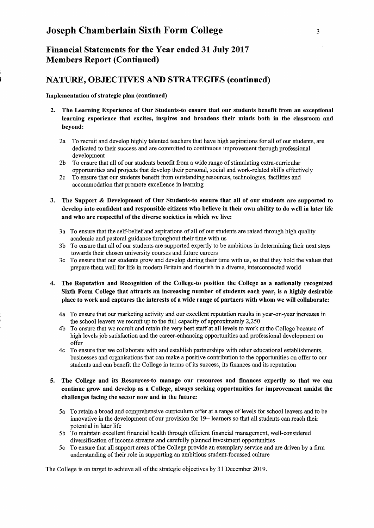# Financial Statements for the Year ended 31 July 2017 Members Report (Continued)

### NATURE, OBJECTIVES AND STRATEGIES (continued)

#### Implementation of strategic plan (continued)

- 2. The Learning Experience of Our Students-to ensure that our students benefit from an exceptional learning experience that excites, inspires and broadens their minds both in the classroom and beyond:
	- 2a To recruit and develop highly talented teachers that have high aspirations for all of our students, are dedicated to their success and are committed to continuous improvement through professional development
	- 2b To ensure that all of our students benefit from a wide range of stimulating extra-curricular opportunities and projects that develop their personal, social and work-related skills effectively
	- 2c To ensure that our students benefit from outstanding resources, technologies, facilities and accommodation that promote excellence in learning
- 3. The Support & Development of Our Students-to ensure that all of our students are supported to develop into confident and responsible citizens who believe in their own ability to do well in later life and who are respectful of the diverse societies in which we live:
	- 3a To ensure that the self-belief and aspirations of all of our students are raised through high quality academic and pastoral guidance throughout their time with us
	- 3b To ensure that all of our students are supported expertly to be ambitious in determining their next steps towards their chosen university courses and future careers
	- 3c To ensure that our students grow and develop during their time with us, so that they hold the values that prepare them well for life in modem Britain and flourish in a diverse, interconnected world
- 4. The Reputation and Recognition of the College-to position the College as a nationally recognized Sixth Form College that attracts an increasing number of students each year, is a highly desirable place to work and captures the interests of a wide range of partners with whom we will collaborate:
	- 4a To ensure that our marketing activity and our excellent reputation results in year-on-year increases in the school leavers we recruit up to the full capacity of approximately  $2,250$
	- 4b To ensure that we recruit and retain the very best staff at all levels to work at the College because of high levels job satisfaction and the career-enhancing opportunities and professional development on offer
	- 4c To ensure that we collaborate with and establish partnerships with other educational establishments, businesses and organisations that can make a positive contribution to the opportunities on offer to our students and can benefit the College in terms of its success, its finances and its reputation
- 5. The College and its Resources-to manage our resources and finances expertly so that we can continue grow and develop as a College, always seeking opportunities for improvement amidst the challenges facing the sector now and in the future:
	- 5a To retain a broad and comprehensive curriculum offer at a range of levels for school leavers and to be innovative in the development of our provision for 19+ learners so that all students can reach their potential in later life
	- 5b To maintain excellent financial health through efficient [mancial management, well-considered diversification of income streams and carefully planned investment opportunities
	- 5c To ensure that all support areas of the College provide an exemplary service and are driven by a firm understanding of their role in supporting an ambitious student-focussed culture

The College is on target to achieve all of the strategic objectives by 31 December 2019.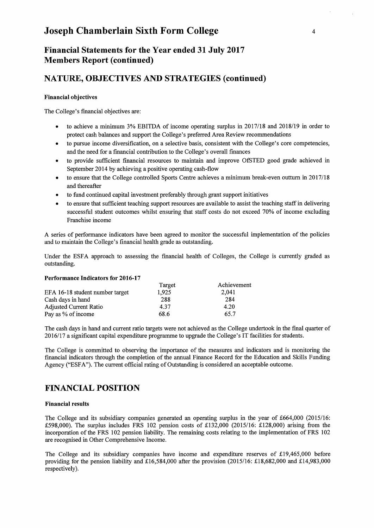# **Financial Statements for the Year ended 31 July 2017 Members Report (continued)**

### **NATURE, OBJECTIVES AND STRATEGIES (continued)**

#### Financial objectives

The College's financial objectives are:

- to achieve a minimum 3% EBITDA of income operating surplus in 2017/18 and 2018/19 in order to protect cash balances and support the College's preferred Area Review recommendations
- to pursue income diversification, on a selective basis, consistent with the College's core competencies, and the need for a financial contribution to the College's overall finances
- to provide sufficient financial resources to maintain and improve OfSTED good grade achieved in September 2014 by achieving a positive operating cash-flow
- to ensure that the College controlled Sports Centre achieves a minimum break-even outturn in 2017/18 and thereafter
- to fund continued capital investment preferably through grant support initiatives
- to ensure that sufficient teaching support resources are available to assist the teaching staff in delivering successful student outcomes whilst ensuring that staff costs do not exceed 70% of income excluding Franchise income

A series of performance indicators have been agreed to monitor the successful implementation of the policies and to maintain the College's financial health grade as outstanding.

Under the ESFA approach to assessing the financial health of Colleges, the College is currently graded as outstanding.

#### **Performance Indicators for 2016-17**

|                                 | Target | Achievement |
|---------------------------------|--------|-------------|
| EFA 16-18 student number target | 1.925  | 2.041       |
| Cash days in hand               | 288    | 284         |
| <b>Adjusted Current Ratio</b>   | 4.37   | 4.20        |
| Pay as % of income              | 68.6   | 65.7        |

The cash days in hand and current ratio targets were not achieved as the College undertook in the [mal quarter of 2016/17 a significant capital expenditure programme to upgrade the College's IT facilities for students.

The College is committed to observing the importance of the measures and indicators and is monitoring the financial indicators through the completion of the annual Finance Record for the Education and Skills Funding Agency ("ESFA"). The current official rating of Outstanding is considered an acceptable outcome.

### **FINANCIAL POSITION**

#### **Financial results**

The College and its subsidiary companies generated an operating surplus in the year of £664,000 (2015/16: £598,000). The surplus includes FRS 102 pension costs of £132,000 (2015/16: £128,000) arising from the incorporation of the FRS 102 pension liability. The remaining costs relating to the implementation of FRS 102 are recognised in Other Comprehensive Income.

The College and its subsidiary companies have income and expenditure reserves of £19,465,000 before providing for the pension liability and £16,584,000 after the provision (2015/16: £18,682,000 and £14,983,000 respectively).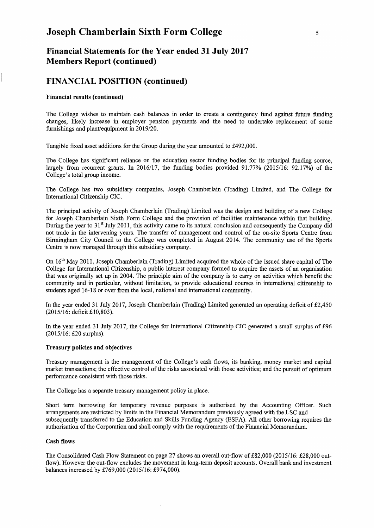### **Financial Statements for the Year ended 31 July 2017 Members Report (continued)**

### **FINANCIAL POSITION (continued)**

#### **Financial results (continued)**

The College wishes to maintain cash balances in order to create a contingency fund against future funding changes, likely increase in employer pension payments and the need to undertake replacement of some furnishings and plant/equipment in 2019/20.

Tangible fixed asset additions for the Group during the year amounted to £492,000.

The College has significant reliance on the education sector funding bodies for its principal funding source, largely from recurrent grants. In 2016/17, the funding bodies provided 91.77% (2015/16: 92.17%) of the College's total group income.

The College has two subsidiary companies, Joseph Chamberlain (Trading) Limited, and The College for International Citizenship CIC.

The principal activity of Joseph Chamberlain (Trading) Limited was the design and building of a new College for Joseph Chamberlain Sixth Form College and the provision of facilities maintenance within that building. During the year to  $31<sup>st</sup>$  July 2011, this activity came to its natural conclusion and consequently the Company did not trade in the intervening years. The transfer of management and control of the on-site Sports Centre from Birmingham City Council to the College was completed in August 2014. The community use of the Sports Centre is now managed through this subsidiary company.

On 16<sup>th</sup> May 2011, Joseph Chamberlain (Trading) Limited acquired the whole of the issued share capital of The College for International Citizenship, a public interest company formed to acquire the assets of an organisation that was originally set up in 2004. The principle aim of the company is to carry on activities which benefit the community and in particular, without limitation, to provide educational courses in international citizenship to students aged 16-18 or over from the local, national and international community.

In the year ended 31 July 2017, Joseph Chamberlain (Trading) Limited generated an operating deficit of £2,450 (2015/16: deficit £10,803).

In the year ended 31 July 2017, the College for International Citizenship CIC generated a small surplus of  $f$ .96 (2015/16: £20 surplus).

#### **Treasury policies and objectives**

Treasury management is the management of the College's cash flows, its banking, money market and capital market transactions; the effective control of the risks associated with those activities; and the pursuit of optimum performance consistent with those risks.

The College has a separate treasury management policy in place.

Short term borrowing for temporary revenue purposes is authorised by the Accounting Officer. Such arrangements are restricted by limits in the Financial Memorandum previously agreed with the LSC and subsequently transferred to the Education and Skills Funding Agency (ESFA). All other borrowing requires the authorisation of the Corporation and shall comply with the requirements of the Financial Memorandum.

#### **Cash flows**

The Consolidated Cash Flow Statement on page 27 shows an overall out-flow of £82,000 (2015/16: £28,000 outflow). However the out-flow excludes the movement in long-term deposit accounts. Overall bank and investment balances increased by £769,000 (2015/16: £974,000).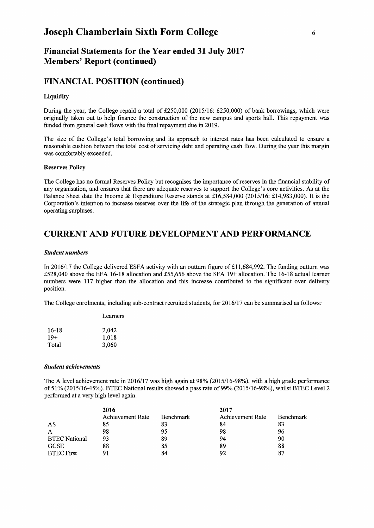## Financial Statements for the Year ended 31 July 2017 Members' Report (continued)

### FINANCIAL POSITION (continued)

#### **Liquidity**

During the year, the College repaid a total of £250,000 (2015/16: £250,000) of bank borrowings, which were originally taken out to help fmance the construction of the new campus and sports hall. This repayment was funded from general cash flows with the fmal repayment due in 2019.

The size of the College's total borrowing and its approach to interest rates has been calculated to ensure a reasonable cushion between the total cost of servicing debt and operating cash flow. During the year this margin was comfortably exceeded.

#### Reserves Policy

The College has no formal Reserves Policy but recognises the importance of reserves in the fmancial stability of any organisation, and ensures that there are adequate reserves to support the College's core activities. As at the Balance Sheet date the Income & Expenditure Reserve stands at £16,584,000 (2015/16: £14,983,000). It is the Corporation's intention to increase reserves over the life of the strategic plan through the generation of annual operating surpluses.

### CURRENT AND FUTURE DEVELOPMENT AND PERFORMANCE

#### *Student numbers*

In 2016/17 the College delivered ESFA activity with an outtum figure of £11,684,992. The funding outtum was £528,040 above the EFA 16-18 allocation and £55,656 above the SFA 19+ allocation. The 16-18 actual learner numbers were 117 higher than the allocation and this increase contributed to the significant over delivery position.

The College enrolments, including sub-contract recruited students, for 2016/17 can be summarised as follows:

|           | Learners |
|-----------|----------|
| $16 - 18$ | 2,042    |
| $19+$     | 1,018    |
| Total     | 3.060    |

#### *Student achievements*

The A level achievement rate in 2016/17 was high again at 98% (2015/16-98%), with a high grade performance of 51% (2015/16-45%). BTEC National results showed a pass rate of 99% (2015/16-98%), whilst BTEC Level 2 performed at a very high level again.

|                      | 2016                    |                  | 2017                    |                  |  |
|----------------------|-------------------------|------------------|-------------------------|------------------|--|
|                      | <b>Achievement Rate</b> | <b>Benchmark</b> | <b>Achievement Rate</b> | <b>Benchmark</b> |  |
| AS                   | 85                      |                  | 84                      |                  |  |
| A                    | 98                      | 95               | 98                      | 96               |  |
| <b>BTEC</b> National | 93                      | 89               | 94                      | 90               |  |
| <b>GCSE</b>          | 88                      | 85               | 89                      | 88               |  |
| <b>BTEC First</b>    | Q 1                     | 84               | 92                      | 87               |  |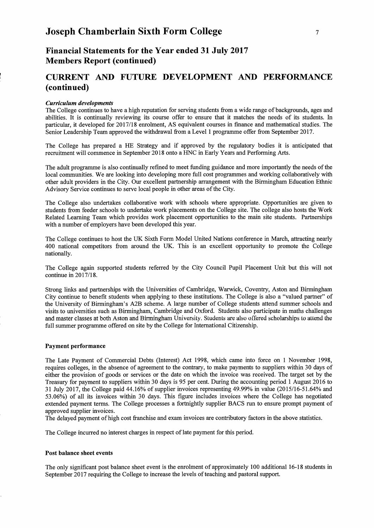### **Financial Statements for the Year ended 31 July 2017 Members Report (continued)**

### **CURRENT AND FUTURE DEVELOPMENT AND PERFORMANCE ( continued)**

#### *Curriculum developments*

The College continues to have a high reputation for serving students from a wide range of backgrounds, ages and abilities. It is continually reviewing its course offer to ensure that it matches the needs of its students. In particular, it developed for 2017/18 enrolment, AS equivalent courses in fmance and mathematical studies. The Senior Leadership Team approved the withdrawal from a Level 1 programme offer from September 2017.

The College has prepared a HE Strategy and if approved by the regulatory bodies it is anticipated that recruitment will commence in September 2018 onto a HNC in Early Years and Performing Arts.

The adult programme is also continually refmed to meet funding guidance and more importantly the needs of the local communities. Weare looking into developing more full cost programmes and working collaboratively with other adult providers in the City. Our excellent partnership arrangement with the Birmingham Education Ethnic Advisory Service continues to serve local people in other areas of the City.

The College also undertakes collaborative work with schools where appropriate. Opportunities are given to students from feeder schools to undertake work placements on the College site. The college also hosts the Work Related Learning Team which provides work placement opportunities to the main site students. Partnerships with a number of employers have been developed this year.

The College continues to host the UK Sixth Form Model United Nations conference in March, attracting nearly 400 national competitors from around the UK. This is an excellent opportunity to promote the College nationally.

The College again supported students referred by the City Council Pupil Placement Unit but this will not continue in 2017/18.

Strong links and partnerships with the Universities of Cambridge, Warwick, Coventry, Aston and Birmingham City continue to benefit students when applying to these institutions. The College is also a "valued partner" of the University of Birmingham's A2B scheme. A large number of College students attend summer schools and visits to universities such as Birmingham, Cambridge and Oxford. Students also participate in maths challenges and master classes at both Aston and Birmingham University. Students are also offered scholarships to attend the full summer programme offered on site by the College for International Citizenship.

#### Payment performance

The Late Payment of Commercial Debts (Interest) Act 1998, which came into force on 1 November 1998, requires colleges, in the absence of agreement to the contrary, to make payments to suppliers within 30 days of either the provision of goods or services or the date on which the invoice was received. The target set by the Treasury for payment to suppliers within 30 days is 95 per cent. During the accounting period 1 August 2016 to 31 July 2017, the College paid 44.16% of supplier invoices representing 49.99% in value (2015/16-51.64% and 53.06%) of all its invoices within 30 days. This figure includes invoices where the College has negotiated extended payment terms. The College processes a fortnightly supplier BACS run to ensure prompt payment of approved supplier invoices.

The delayed payment of high cost franchise and exam invoices are contributory factors in the above statistics.

The College incurred no interest charges in respect of late payment for this period.

#### Post balance sheet events

The only significant post balance sheet event is the enrolment of approximately 100 additional 16-18 students in September 2017 requiring the College to increase the levels of teaching and pastoral support.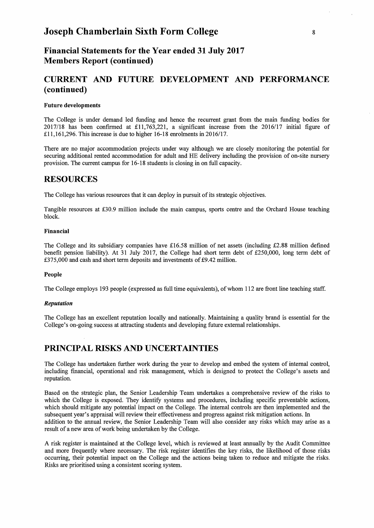## **Financial Statements for the Year ended 31 July 2017 Members Report (continued)**

### **CURRENT AND FUTURE DEVELOPMENT AND PERFORMANCE (continued)**

#### **Future developments**

The College is under demand led funding and hence the recurrent grant from the main funding bodies for 2017/18 has been confirmed at £11,763,221, a significant increase from the 2016/17 initial figure of £11,161,296. This increase is due to higher 16-18 enrolments in 2016/17.

There are no major accommodation projects under way although we are closely monitoring the potential for securing additional rented accommodation for adult and HE delivery including the provision of on-site nursery provision. The current campus for 16-18 students is closing in on full capacity.

### **RESOURCES**

The College has various resources that it can deploy in pursuit of its strategic objectives.

Tangible resources at £30.9 million include the main campus, sports centre and the Orchard House teaching block.

#### **Financial**

The College and its subsidiary companies have £16.58 million of net assets (including £2.88 million defmed benefit pension liability). At 31 July 2017, the College had short term debt of £250,000, long term debt of £375,000 and cash and short term deposits and investments of £9.42 million.

#### **People**

The College employs 193 people (expressed as full time equivalents), of whom 112 are front line teaching staff.

#### *Reputation*

The College has an excellent reputation locally and nationally. Maintaining a quality brand is essential for the College's on-going success at attracting students and developing future external relationships.

### **PRINCIPAL RISKS AND UNCERTAINTIES**

The College has undertaken further work during the year to develop and embed the system of internal control, including fmancial, operational and risk management, which is designed to protect the College's assets and reputation.

Based on the strategic plan, the Senior Leadership Team undertakes a comprehensive review of the risks to which the College is exposed. They identify systems and procedures, including specific preventable actions, which should mitigate any potential impact on the College. The internal controls are then implemented and the subsequent year's appraisal will review their effectiveness and progress against risk mitigation actions. In addition to the annual review, the Senior Leadership Team will also consider any risks which may arise as a result of a new area of work being undertaken by the College.

A risk register is maintained at the College level, which is reviewed at least annually by the Audit Committee and more frequently where necessary. The risk register identifies the key risks, the likelihood of those risks occurring, their potential impact on the College and the actions being taken to reduce and mitigate the risks. Risks are prioritised using a consistent scoring system.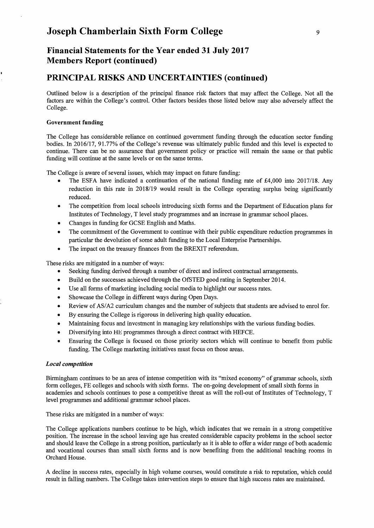## **Financial Statements for the Year ended 31 July 2017 Members Report (continued)**

### **PRINCIPAL RISKS AND UNCERTAINTIES (continued)**

Outlined below is a description of the principal fmance risk factors that may affect the College. Not all the factors are within the College's control. Other factors besides those listed below may also adversely affect the College.

#### Government **funding**

The College has considerable reliance on continued government funding through the education sector funding bodies. In 2016/17, 91.77% of the College's revenue was ultimately public funded and this level is expected to continue. There can be no assurance that government policy or practice will remain the same or that public funding will continue at the same levels or on the same terms.

The College is aware of several issues, which may impact on future funding:

- The ESFA have indicated a continuation of the national funding rate of £4,000 into 2017/18. Any reduction in this rate in 2018/19 would result in the College operating surplus being significantly reduced.
- The competition from local schools introducing sixth forms and the Department of Education plans for Institutes of Technology, T level study programmes and an increase in grammar school places.
- Changes in funding for GCSE English and Maths.
- The commitment of the Government to continue with their public expenditure reduction programmes in particular the devolution of some adult funding to the Local Enterprise Partnerships.
- The impact on the treasury fmances from the BREXIT referendum.

These risks are mitigated in a number of ways:

- Seeking funding derived through a number of direct and indirect contractual arrangements.
- Build on the successes achieved through the OfSTED good rating in September 2014.
- Use all forms of marketing including social media to highlight our success rates.
- Showcase the College in different ways during Open Days.
- Review of AS/A2 curriculum changes and the number of subjects that students are advised to enrol for.
- By ensuring the College is rigorous in delivering high quality education.
- Maintaining focus and investment in managing key relationships with the various funding bodies.
- Diversifying into HE programmes through a direct contract with HEFCE.
- Ensuring the College is focused on those priority sectors which will continue to benefit from public funding. The College marketing initiatives must focus on those areas.

#### *Local competition*

Birmingham continues to be an area of intense competition with its "mixed economy" of grammar schools, sixth form colleges, FE colleges and schools with sixth forms. The on-going development of small sixth forms in academies and schools continues to pose a competitive threat as will the roll-out of Institutes of Technology, T level programmes and additional grammar school places.

These risks are mitigated in a number of ways:

The College applications numbers continue to be high, which indicates that we remain in a strong competitive position. The increase in the school leaving age has created considerable capacity problems in the school sector and should leave the College in a strong position, particularly as it is able to offer a wider range of both academic and vocational courses than small sixth forms and is now benefiting from the additional teaching rooms in Orchard House.

A decline in success rates, especially in high volume courses, would constitute a risk to reputation, which could result in falling numbers. The College takes intervention steps to ensure that high success rates are maintained.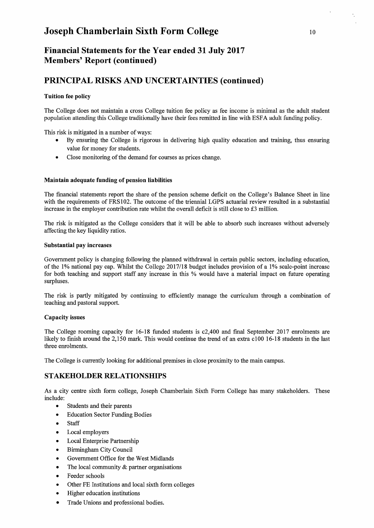# **Joseph Chamberlain Sixth Form College**  $\frac{10}{2}$

# **Financial Statements for the Year ended 31 July 2017 Members' Report (continued)**

### **PRINCIPAL RISKS AND UNCERTAINTIES (continued)**

#### **Tuition fee policy**

The College does not maintain a cross College tuition fee policy as fee income is minimal as the adult student population attending this College traditionally have their fees remitted in line with ESFA adult funding pulicy.

This risk is mitigated in a number of ways:

- By ensuring the College is rigorous in delivering high quality education and training, thus ensuring value for money for students.
- Close monitoring of the demand for courses as prices change.

#### **Maintain adequate funding of pension liabilities**

The fmancial statements report the share of the pension scheme deficit on the College's Balance Sheet in line with the requirements of FRS102. The outcome of the triennial LGPS actuarial review resulted in a substantial increase in the employer contribution rate whilst the overall deficit is still close to £3 million.

The risk is mitigated as the College considers that it will be able to absorb such increases without adversely affecting the key liquidity ratios.

#### **Substantial pay increases**

Government policy is changing following the planned withdrawal in certain public sectors, including education, of the 1% national pay cap. Whilst the College 2017/18 budget includes provision of a 1% scale-point increase for both teaching and support staff any increase in this % would have a material impact on future operating surpluses.

The risk is partly mitigated by continuing to efficiently manage the curriculum through a combination of teaching and pastoral support.

#### **Capacity issues**

The College rooming capacity for 16-18 funded students is c2,400 and final September 2017 enrolments are likely to finish around the 2,150 mark. This would continue the trend of an extra c100 16-18 students in the last three enrolments.

The College is currently looking for additional premises in close proximity to the main campus.

### **STAKEHOLDER RELATIONSHIPS**

As a city centre sixth form college, Joseph Chamberlain Sixth Form College has many stakeholders. These include:

- Students and their parents
- Education Sector Funding Bodies
- **Staff**
- Local employers
- Local Enterprise Partnership
- Birmingham City Council
- Government Office for the West Midlands
- The local community & partner organisations
- Feeder schools
- Other FE Institutions and local sixth form colleges
- Higher education institutions
- Trade Unions and professional bodies.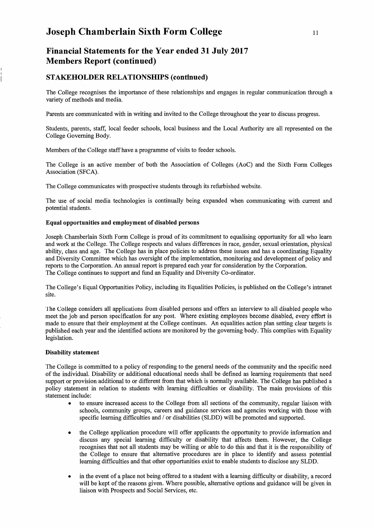## **Financial Statements for the Year ended 31 July 2017 Members Report (continued)**

### **STAKEHOLDER RELATIONSHIPS (continued)**

The College recognises the importance of these relationships and engages in regular communication through a variety of methods and media.

Parents are communicated with in writing and invited to the College throughout the year to discuss progress.

Students, parents, staff, local feeder schools, local business and the Local Authority are all represented on the College Governing Body.

Members of the College staffhave a programme of visits to feeder schools.

The College is an active member of both the Association of Colleges (AoC) and the Sixth Form Colleges Association (SFCA).

The College communicates with prospective students through its refurbished website.

The use of social media technologies is continually being expanded when communicating with current and potential students.

#### **Equal opportunities and employment of disabled persons**

Joseph Chamberlain Sixth Form College is proud of its commitment to equalising opportunity for all who learn and work at the College. The College respects and values differences in race, gender, sexual orientation, physical ability, class and age. The College has in place policies to address these issues and has a coordinating Equality and Diversity Committee which has oversight of the implementation, monitoring and development of policy and reports to the Corporation. An annual report is prepared each year for consideration by the Corporation. The College continues to support and fund an Equality and Diversity Co-ordinator.

The College's Equal Opportunities Policy, including its Equalities Policies, is published on the College's intranet site.

The College considers all applications from disabled persons and offers an interview to all disabled people who meet the job and person specification for any post. Where existing employees become disabled, every effort is made to ensure that their employment at the College continues. An equalities action plan setting clear targets is published each year and the identified actions are monitored by the governing body. This complies with Equality legislation.

#### **Disability statement**

The College is committed to a policy of responding to the general needs of the community and the specific need of the individual. Disability or additional educational needs shall be defined as learning requirements that need support or provision additional to or different from that which is normally available. The College has published a policy statement in relation to students with learning difficulties or disability. The main provisions of this statement include:

- to ensure increased access to the College from all sections of the community, regular liaison with schools, community groups, careers and guidance services and agencies working with those with specific learning difficulties and / or disabilities (SLDD) will be promoted and supported.
- the College application procedure will offer applicants the opportunity to provide information and discuss any special learning difficulty or disability that affects them. However, the College recognises that not all students may be willing or able to do this and that it is the responsibility of the College to ensure that alternative procedures are in place to identify and assess potential learning difficulties and that other opportunities exist to enable students to disclose any SLDD.
- in the event of a place not being offered to a student with a learning difficulty or disability, a record will be kept of the reasons given. Where possible, alternative options and guidance will be given in liaison with Prospects and Social Services, etc.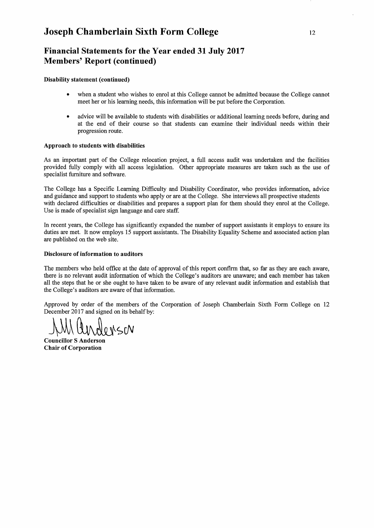# **Financial Statements for the Year ended 31 July 2017 Members' Report (continued)**

#### **Disability statement (continued)**

- when a student who wishes to enrol at this College cannot be admitted because the College cannot meet her or his learning needs, this information will be put before the Corporation.
- advice will be available to students with disabilities or additional learning needs before, during and at the end of their course so that students can examine their individual needs within their progression route.

#### **Approach to students with disabilities**

As an important part of the College relocation project, a full access audit was undertaken and the facilities provided fully comply with all access legislation. Other appropriate measures are taken such as the use of specialist furniture and software.

The College has a Specific Learning Difficulty and Disability Coordinator, who provides information, advice and guidance and support to students who apply or are at the College. She interviews all prospective students with declared difficulties or disabilities and prepares a support plan for them should they enrol at the College. Use is made of specialist sign language and care staff.

In recent years, the College has significantly expanded the number of support assistants it employs to ensure its duties are met. It now employs 15 support assistants. The Disability Equality Scheme and associated action plan are published on the web site.

#### **Disclosure of information to auditors**

The members who held office at the date of approval of this report confirm that, so far as they are each aware, there is no relevant audit information of which the College's auditors are unaware; and each member has taken all the steps that he or she ought to have taken to be aware of any relevant audit information and establish that the College's auditors are aware of that information.

Approved by order of the members of the Corporation of Joseph Chamberlain Sixth Form College on 12 December 2017 and signed on its behalf by:

 $M$ Sr $N$ 

**Councillor S Anderson Chair of Corporation**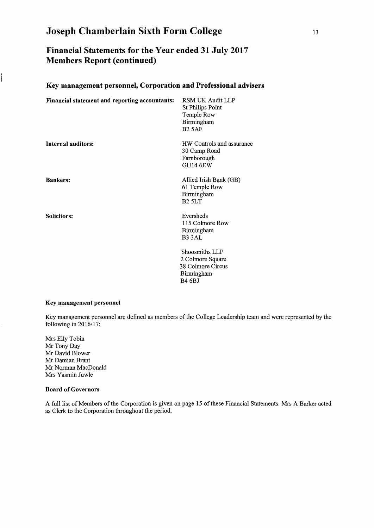# Financial Statements for the Year ended 31 July 2017 Members Report (continued)

### Key management personnel, Corporation and Professional advisers

| Financial statement and reporting accountants: | RSM UK Audit LLP<br><b>St Philips Point</b><br>Temple Row<br>Birmingham<br><b>B2 5AF</b> |
|------------------------------------------------|------------------------------------------------------------------------------------------|
| Internal auditors:                             | HW Controls and assurance<br>30 Camp Road<br>Farnborough<br><b>GU14 6EW</b>              |
| <b>Bankers:</b>                                | Allied Irish Bank (GB)<br>61 Temple Row<br>Birmingham<br>B <sub>2</sub> 5LT              |
| Solicitors:                                    | Eversheds<br>115 Colmore Row<br>Birmingham<br><b>B3 3AL</b>                              |
|                                                | Shoosmiths LLP<br>2 Colmore Square<br>38 Colmore Circus<br>Birmingham<br><b>B4 6BJ</b>   |

#### Key management personnel

İ

Key management personnel are defmed as members of the College Leadership team and were represented by the following in 2016/17:

Mrs Elly Tobin Mr Tony Day Mr David Blower Mr Damian Brant Mr Norman MacDonald Mrs Yasmin Juwle

#### Board of Governors

A full list of Members of the Corporation is given on page 15 of these Financial Statements. Mrs A Barker acted as Clerk to the Corporation throughout the period.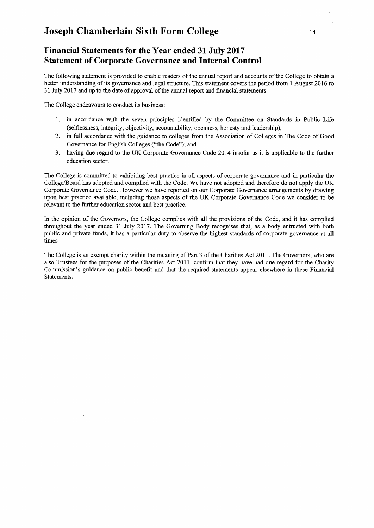## **Financial Statements for the Year ended 31 July 2017 Statement of Corporate Governance and Internal Control**

The following statement is provided to enable readers of the annual report and accounts of the College to obtain a better understanding of its governance and legal structure. This statement covers the period from 1 August 2016 to 31 July 2017 and up to the date of approval of the annual report and financial statements.

The College endeavours to conduct its business:

- 1. in accordance with the seven principles identified by the Committee on Standards in Public Life (selflessness, integrity, objectivity, accountability, openness, honesty and leadership);
- 2. in full accordance with the guidance to colleges from the Association of Colleges in The Code of Good Governance for English Colleges ("the Code"); and
- 3. having due regard to the UK Corporate Governance Code 2014 insofar as it is applicable to the further education sector.

The College is committed to exhibiting best practice in all aspects of corporate governance and in particular the CollegelBoard has adopted and complied with the Code. We have not adopted and therefore do not apply the UK Corporate Governance Code. However we have reported on our Corporate Governance arrangements by drawing upon best practice available, including those aspects of the UK Corporate Governance Code we consider to be relevant to the further education sector and best practice.

In the opinion of the Governors, the College complies with all the provisions of the Code, and it has complied throughout the year ended 31 July 2017. The Governing Body recognises that, as a body entrusted with both public and private funds, it has a particular duty to observe the highest standards of corporate governance at all times.

The College is an exempt charity within the meaning of Part 3 of the Charities Act 2011. The Governors, who are also Trustees for the purposes of the Charities Act 2011, confirm that they have had due regard for the Charity Commission's guidance on public benefit and that the required statements appear elsewhere in these Financial Statements.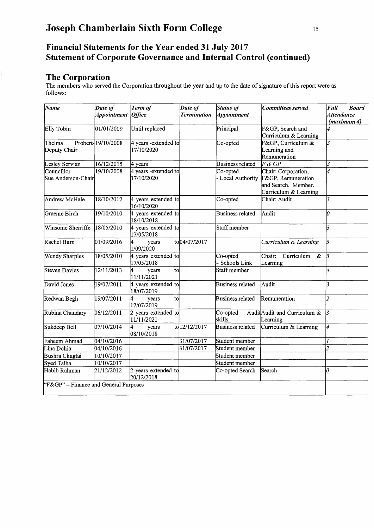# **Financial Statements for the Year ended 31 July 2017 Statement of Corporate Governance and Internal Control (continued)**

# **The Corporation**

 $\frac{1}{2}$ 

The members who served the Corporation throughout the year and up to the date of signature of this report were as follows:

| $\overline{\mathit Name}$             | $\boldsymbol{Date\ of}$<br>Appointment Office | Term of                             | Date of<br><b>Termination</b> | Status of<br><i>Appointment</i> | Committees served                                                                         | <b>Board</b><br>Full<br><b>Attendance</b><br>(maximum 4) |
|---------------------------------------|-----------------------------------------------|-------------------------------------|-------------------------------|---------------------------------|-------------------------------------------------------------------------------------------|----------------------------------------------------------|
| Elly Tobin                            | 01/01/2009                                    | Until replaced                      |                               | Principal                       | F&GP, Search and<br>Curriculum & Learning                                                 |                                                          |
| Thelma<br>Deputy Chair                | Probert-19/10/2008                            | 4 years - extended to<br>17/10/2020 |                               | Co-opted                        | F&GP, Curriculum &<br>Learning and<br>Remuneration                                        | $\overline{\mathbf{3}}$                                  |
| Lesley Servian                        | 16/12/2015                                    | 4 years                             |                               | Business related                | $\overline{F \& GP}$                                                                      | 3                                                        |
| Councillor<br>Sue Anderson-Chair      | 19/10/2008                                    | 4 years -extended to<br>17/10/2020  |                               | Co-opted<br>Local Authority     | Chair: Corporation,<br>F&GP, Remuneration<br>and Search. Member.<br>Curriculum & Learning |                                                          |
| Andrew McHale                         | 18/10/2012                                    | 4 years extended to<br>16/10/2020   |                               | Co-opted                        | Chair: Audit                                                                              | $\overline{\mathbf{3}}$                                  |
| Graeme Birch                          | 19/10/2010                                    | 4 years extended to<br>18/10/2018   |                               | Business related                | Audit                                                                                     | $\theta$                                                 |
| Winsome Sherriffe                     | 18/05/2010                                    | 4 years extended to<br>17/05/2018   |                               | Staff member                    |                                                                                           | $\overline{3}$                                           |
| Rachel Burn                           | 01/09/2016                                    | 4<br>years<br>1/09/2020             | to 04/07/2017                 |                                 | Curriculum & Learning                                                                     | l3                                                       |
| Wendy Sharples                        | 18/05/2010                                    | 4 years extended to<br>17/05/2018   |                               | Co-opted<br>Schools Link        | Chair:<br>Curriculum<br>&<br>Learning                                                     | $\overline{3}$                                           |
| Steven Davies                         | 12/11/2013                                    | 4<br>to<br>years<br>11/11/2021      |                               | Staff member                    |                                                                                           | $\overline{4}$                                           |
| David Jones                           | 19/07/2011                                    | 4 years extended to<br>18/07/2019   |                               | Business related                | Audit                                                                                     | 3                                                        |
| Redwan Begh                           | 19/07/2011                                    | 4<br>to<br>years<br>17/07/2019      |                               | Business related                | Remuneration                                                                              | $\overline{c}$                                           |
| Rubina Chaudary                       | 06/12/2011                                    | 2 years extended to<br>11/11/2021   |                               | Co-opted<br>skills              | AuditAudit and Curriculum &<br>Learning                                                   | $\mathbf{3}$                                             |
| Sukdeep Bell                          | 07/10/2014                                    | 14<br>years<br>08/10/2018           | to 12/12/2017                 | Business related                | Curriculum & Learning                                                                     | $\overline{\mathcal{A}}$                                 |
| Faheem Ahmad                          | 04/10/2016                                    |                                     | 31/07/2017                    | Student member                  |                                                                                           |                                                          |
| Lina Dohia                            | 04/10/2016                                    |                                     | 31/07/2017                    | Student member                  |                                                                                           | $\overline{2}$                                           |
| Bushra Chugtai                        | 10/10/2017                                    |                                     |                               | Student member                  |                                                                                           |                                                          |
| Syed Talha                            | 10/10/2017                                    |                                     |                               | Student member                  |                                                                                           |                                                          |
| Habib Rahman                          | 21/12/2012                                    | 2 years extended to<br>20/12/2018   |                               | Co-opted Search                 | Search                                                                                    | l0                                                       |
| "F&GP" – Finance and General Purposes |                                               |                                     |                               |                                 |                                                                                           |                                                          |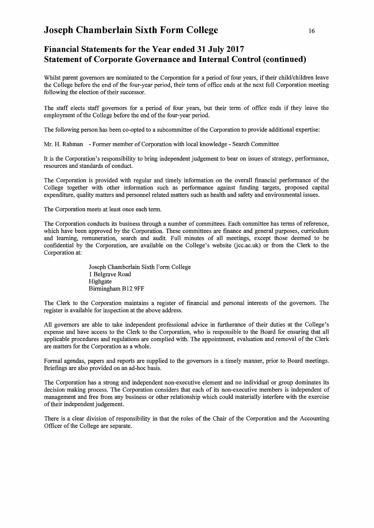### **Financial Statements for the Year ended 31 July 2017 Statement of Corporate Governance and Internal Control (continued)**

Whilst parent governors are nominated to the Corporation for a period of four years, if their child/children leave the College before the end of the four-year period, their term of office ends at the next full Corporation meeting following the election of their successor.

The staff elects staff governors for a period of four years, but their term of office ends if they leave the employment of the College before the end of the four-year period.

The following person has been co-opted to a subcommittee of the Corporation to provide additional expertise:

Mr. H. Rahman - Former member of Corporation with local knowledge - Search Committee

It is the Corporation's responsibility to bring independent judgement to bear on issues of strategy, performance, resources and standards of conduct.

The Corporation is provided with regular and timely information on the overall financial performance of the College together with other information such as performance against funding targets, proposed capital expenditure, quality matters and personnel related matters such as health and safety and environmental issues.

The Corporation meets at least once each term.

The Corporation conducts its business through a number of committees. Each committee has terms of reference, which have been approved by the Corporation. These committees are finance and general purposes, curriculum and learning, remuneration, search and audit. Full minutes of all meetings, except those deemed to be confidential by the Corporation, are available on the College's website (jcc.ac.uk) or from the Clerk to the Corporation at:

> Joseph Chamberlain Sixth Form College 1 Belgrave Road Highgate Birmingham B12 9FF

The Clerk to the Corporation maintains a register of financial and personal interests of the governors. The register is available for inspection at the above address.

All governors are able to take independent professional advice in furtherance of their duties at the College's expense and have access to the Clerk to the Corporation, who is responsible to the Board for ensuring that all applicable procedures and regulations are complied with. The appointment, evaluation and removal of the Clerk are matters for the Corporation as a whole.

Formal agendas, papers and reports are supplied to the governors in a timely manner, prior to Board meetings. Briefmgs are also provided on an ad-hoc basis.

The Corporation has a strong and independent non-executive element and no individual or group dominates its decision making process. The Corporation considers that each of its non-executive members is independent of management and free from any business or other relationship which could materially interfere with the exercise of their independent judgement.

There is a clear division of responsibility in that the roles of the Chair of the Corporation and the Accounting Officer of the College are separate.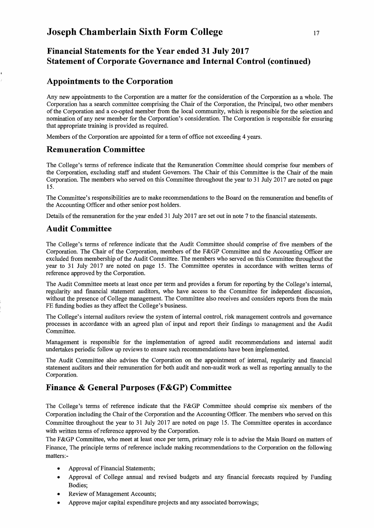## **Financial Statements for the Year ended 31 July 2017 Statement of Corporate Governance and Internal Control (continued)**

### **Appointments to the Corporation**

Any new appointments to the Corporation are a matter for the consideration of the Corporation as a whole. The Corporation has a search committee comprising the Chair of the Corporation, the Principal, two other members of the Corporation and a co-opted member from the local community, which is responsible for the selection and nomination of any new member for the Corporation's consideration. The Corporation is responsible for ensuring that appropriate training is provided as required.

Members of the Corporation are appointed for a term of office not exceeding 4 years.

### **Remuneration Committee**

The College's terms of reference indicate that the Remuneration Committee should comprise four members of the Corporation, excluding staff and student Governors. The Chair of this Committee is the Chair of the main Corporation. The members who served on this Committee throughout the year to 31 July 2017 are noted on page 15.

The Committee's responsibilities are to make recommendations to the Board on the remuneration and benefits of the Accounting Officer and other senior post holders.

Details of the remuneration for the year ended 31 July 2017 are set out in note 7 to the financial statements.

### **Audit Committee**

The College's terms of reference indicate that the Audit Committee should comprise of five members of the Corporation. The Chair of the Corporation, members of the F&GP Committee and the Accounting Officer are excluded from membership of the Audit Committee. The members who served on this Committee throughout the year to 31 July 2017 are noted on page 15. The Committee operates in accordance with written terms of reference approved by the Corporation.

The Audit Committee meets at least once per term and provides a forum for reporting by the College's internal, regularity and financial statement auditors, who have access to the Committee for independent discussion, without the presence of College management. The Committee also receives and considers reports from the main FE funding bodies as they affect the College's business.

The College's internal auditors review the system of internal control, risk management controls and governance processes in accordance with an agreed plan of input and report their findings to management and the Audit Committee.

Management is responsible for the implementation of agreed audit recommendations and internal audit undertakes periodic follow up reviews to ensure such recommendations have been implemented.

The Audit Committee also advises the Corporation on the appointment of internal, regularity and financial statement auditors and their remuneration for both audit and non-audit work as well as reporting annually to the Corporation.

### **Finance & General Purposes (F&GP) Committee**

The College's terms of reference indicate that the F&GP Committee should comprise six members of the Corporation including the Chair of the Corporation and the Accounting Officer. The members who served on this Committee throughout the year to 31 July 2017 are noted on page 15. The Committee operates in accordance with written terms of reference approved by the Corporation.

The F&GP Committee, who meet at least once per term, primary role is to advise the Main Board on matters of Finance, The principle terms of reference include making recommendations to the Corporation on the following matters:-

- Approval of Financial Statements;
- Approval of College annual and revised budgets and any financial forecasts required by Funding Bodies;
- Review of Management Accounts;
- Approve major capital expenditure projects and any associated borrowings;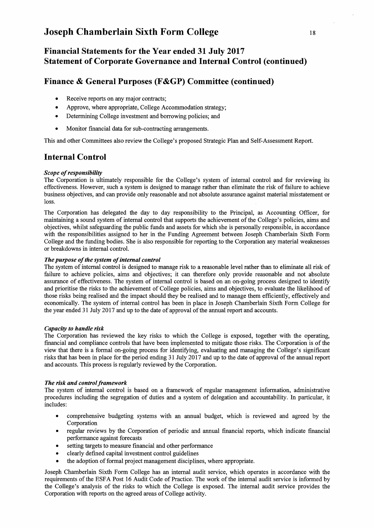# **Financial Statements for the Year ended 31 July 2017 Statement of Corporate Governance and Internal Control (continued)**

# **Finance & General Purposes (F&GP) Committee (continued)**

- Receive reports on any major contracts;
- Approve, where appropriate, College Accommodation strategy;
- Determining College investment and borrowing policies; and
- Monitor fmancial data for sub-contracting arrangements.

This and other Committees also review the College's proposed Strategic Plan and Self-Assessment Report.

# **Internal Control**

### *Scope of responsibility*

The Corporation is ultimately responsible for the College's system of internal control and for reviewing its effectiveness. However, such a system is designed to manage rather than eliminate the risk of failure to achieve business objectives, and can provide only reasonable and not absolute assurance against material misstatement or loss.

The Corporation has delegated the day to day responsibility to the Principal, as Accounting Officer, for maintaining a sound system of internal control that supports the achievement of the College's policies, aims and objectives, whilst safeguarding the public funds and assets for which she is personally responsible, in accordance with the responsibilities assigned to her in the Funding Agreement between Joseph Chamberlain Sixth Form College and the funding bodies. She is also responsible for reporting to the Corporation any material weaknesses or breakdowns in internal control.

#### *The purpose of the system of internal control*

The system of internal control is designed to manage risk to a reasonable level rather than to eliminate all risk of failure to achieve policies, aims and objectives; it can therefore only provide reasonable and not absolute assurance of effectiveness. The system of internal control is based on an on-going process designed to identify and prioritise the risks to the achievement of College policies, aims and objectives, to evaluate the likelihood of those risks being realised and the impact should they be realised and to manage them efficiently, effectively and economically. The system of internal control has been in place in Joseph Chamberlain Sixth Form College for the year ended 31 July 2017 and up to the date of approval of the annual report and accounts.

#### *Capacity to handle risk*

The Corporation has reviewed the key risks to which the College is exposed, together with the operating, fmancial and compliance controls that have been implemented to mitigate those risks. The Corporation is of the view that there is a formal on-going process for identifying, evaluating and managing the College's significant risks that has been in place for the period ending 31 July 2017 and up to the date of approval of the annual report and accounts. This process is regularly reviewed by the Corporation.

### *The risk and control framework*

The system of internal control is based on a framework of regular management information, administrative procedures including the segregation of duties and a system of delegation and accountability. In particular, it includes:

- comprehensive budgeting systems with an annual budget, which is reviewed and agreed by the Corporation
- regular reviews by the Corporation of periodic and annual fmancial reports, which indicate fmancial performance against forecasts
- setting targets to measure financial and other performance
- clearly defmed capital investment control guidelines
- the adoption of formal project management disciplines, where appropriate.

Joseph Chamberlain Sixth Form College has an internal audit service, which operates in accordance with the requirements of the ESFA Post 16 Audit Code of Practice. The work of the internal audit service is informed by the College's analysis of the risks to which the College is exposed. The internal audit service provides the Corporation with reports on the agreed areas of College activity.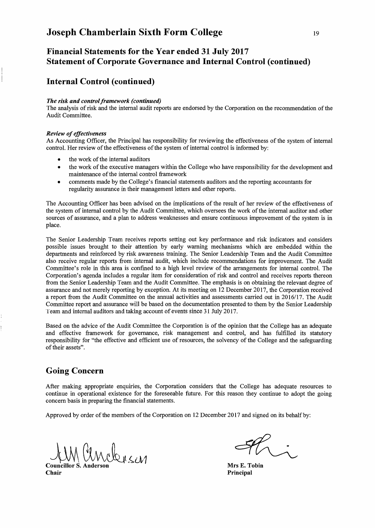### **Financial Statements for the Year ended 31 July 2017 Statement of Corporate Governance and Internal Control (continued)**

### **Internal Control (continued)**

### *The risk and control framework (continued)*

The analysis of risk and the internal audit reports are endorsed by the Corporation on the recommendation of the Audit Committee.

#### *Review of effectiveness*

As Accounting Officer, the Principal has responsibility for reviewing the effectiveness of the system of internal control. Her review of the effectiveness of the system of internal control is informed by:

- the work of the internal auditors
- the work of the executive managers within the College who have responsibility for the development and maintenance of the internal control framework
- comments made by the College's financial statements auditors and the reporting accountants for regularity assurance in their management letters and other reports.

The Accounting Officer has been advised on the implications of the result of her review of the effectiveness of the system of internal control by the Audit Committee, which oversees the work of the internal auditor and other sources of assurance, and a plan to address weaknesses and ensure continuous improvement of the system is in place.

The Senior Leadership Team receives reports setting out key performance and risk indicators and considers possible issues brought to their attention by early warning mechanisms which are embedded within the departments and reinforced by risk awareness training. The Senior Leadership Team and the Audit Committee also receive regular reports from internal audit, which include recommendations for improvement. The Audit Committee's role in this area is confmed to a high level review of the arrangements for internal control. The Corporation's agenda includes a regular item for consideration of risk and control and receives reports thereon from the Senior Leadership Team and the Audit Committee. The emphasis is on obtaining the relevant degree of assurance and not merely reporting by exception. At its meeting on 12 December 2017, the Corporation received a report from the Audit Committee on the annual activities and assessments carried out in 2016/17. The Audit Committee report and assurance will be based on the documentation presented to them by the Senior Leadership Team and internal auditors and taking account of events since 31 July 2017.

Based on the advice of the Audit Committee the Corporation is of the opinion that the College has an adequate and effective framework for governance, risk management and control, and has fulfilled its statutory responsibility for "the effective and efficient use of resources, the solvency of the College and the safeguarding of their assets".

### **Going Concern**

After making appropriate enquiries, the Corporation considers that the College has adequate resources to continue in operational existence for the foreseeable future. For this reason they continue to adopt the going concern basis in preparing the fmancial statements.

Approved by order of the members of the Corporation on 12 December 2017 and signed on its behalf by:

AM CUNCLEASEM

Chair

Li

Mrs E. Tobin Principal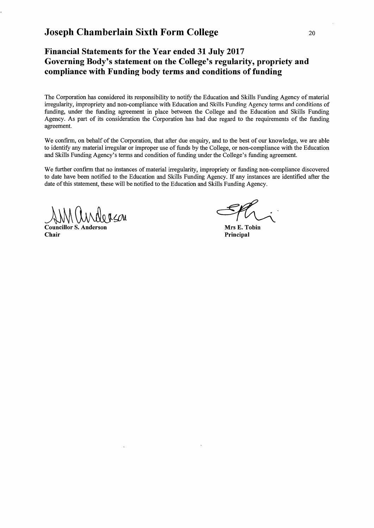# **Financial Statements for the Year ended 31 July 2017 Governing Body's statement on the College's regularity, propriety and compliance with Funding body terms and conditions of funding**

The Corporation has considered its responsibility to notify the Education and Skills Funding Agency of material irregularity, impropriety and non-compliance with Education and Skills Funding Agency terms and conditions of funding, under the funding agreement in place between the College and the Education and Skills Funding Agency. As part of its consideration the Corporation has had due regard to the requirements of the funding agreement.

We confirm, on behalf of the Corporation, that after due enquiry, and to the best of our knowledge, we are able to identify any material irregular or improper use of funds by the College, or non-compliance with the Education and Skills Funding Agency's terms and condition of funding under the College's funding agreement.

We further confirm that no instances of material irregularity, impropriety or funding non-compliance discovered to date have been notified to the Education and Skills Funding Agency. If any instances are identified after the date of this statement, these will be notified to the Education and Skills Funding Agency.

AM Anders

Councillor S. Anderson Chair

Mrs E. Tobin Principal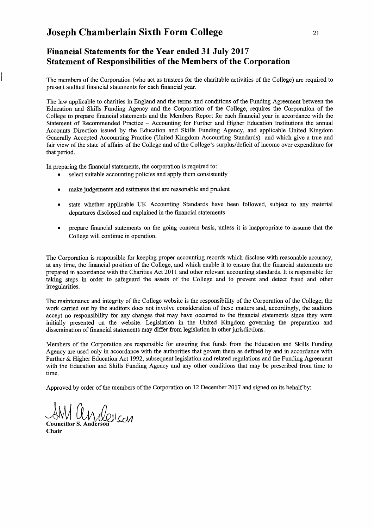ĺ

### **Financial Statements for the Year ended 31 July 2017 Statement of Responsibilities of the Members of the Corporation**

The members of the Corporation (who act as trustees for the charitable activities of the College) are required to present audited Iiuaucial statements for each financial year.

The law applicable to charities in England and the terms and conditions of the Funding Agreement between the Education and Skills Funding Agency and the Corporation of the College, requires the Corporation of the College to prepare financial statements and the Members Report for each financial year in accordance with the Statement of Recommended Practice - Accounting for Further and Higher Education Institutions the annual Accounts Direction issued by the Education and Skills Funding Agency, and applicable United Kingdom Generally Accepted Accounting Practice (United Kingdom Accounting Standards) and which give a true and fair view of the state of affairs of the College and of the College's surplus/deficit of income over expenditure for that period.

In preparing the financial statements, the corporation is required to:

- select suitable accounting policies and apply them consistently
- make judgements and estimates that are reasonable and prudent
- state whether applicable UK Accounting Standards have been followed, subject to any material departures disclosed and explained in the financial statements
- prepare financial statements on the going concern basis, unless it is inappropriate to assume that the College will continue in operation.

The Corporation is responsible for keeping proper accounting records which disclose with reasonable accuracy, at any time, the financial position of the College, and which enable it to ensure that the financial statements are prepared in accordance with the Charities Act 2011 and other relevant accounting standards. It is responsible for taking steps in order to safeguard the assets of the College and to prevent and detect fraud and other irregularities.

The maintenance and integrity of the College website is the responsibility of the Corporation of the College; the work carried out by the auditors does not involve consideration of these matters and, accordingly, the auditors accept no responsibility for any changes that may have occurred to the financial statements since they were initially presented on the website. Legislation in the United Kingdom governing the preparation and dissemination of financial statements may differ from legislation in other jurisdictions.

Members of the Corporation are responsible for ensuring that funds from the Education and Skills Funding Agency are used only in accordance with the authorities that govern them as defined by and in accordance with Further & Higher Education Act 1992, subsequent legislation and related regulations and the Funding Agreement with the Education and Skills Funding Agency and any other conditions that may be prescribed from time to time.

Approved by order of the members of the Corporation on 12 December 2017 and signed on its behalf by:

J1M *~(£.cM*  **Councillor S. Anderson** 

**Chair**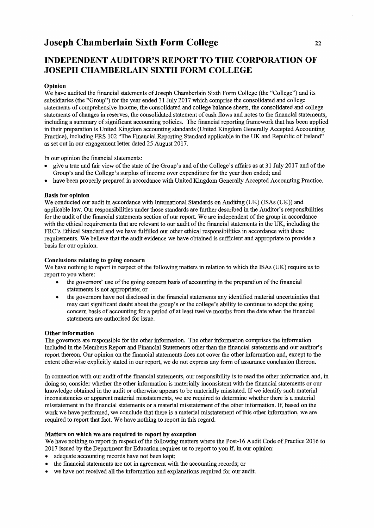# **INDEPENDENT AUDITOR'S REPORT TO THE CORPORATION OF JOSEPH CHAMBERLAIN SIXTH** FORM **COLLEGE**

#### Opinion

We have audited the financial statements of Joseph Chamberlain Sixth Form College (the "College") and its subsidiaries (the "Group") for the year ended 31 July 2017 which comprise the consolidated and college statements of comprehensive income, the consolidated and college balance sheets, the consolidated and college statements of changes in reserves, the consolidated statement of cash flows and notes to the financial statements, including a summary of significant accounting policies. The financial reporting framework that has been applied in their preparation is United Kingdom accounting standards (United Kingdom Generally Accepted Accounting Practice), including FRS 102 "The Financial Reporting Standard applicable in the UK and Republic of Ireland" as set out in our engagement letter dated 25 August 2017.

In our opinion the financial statements:

- give a true and fair view of the state of the Group's and of the College's affairs as at 31 July 2017 and of the Group's and the College's surplus of income over expenditure for the year then ended; and
- have been properly prepared in accordance with United Kingdom Generally Accepted Accounting Practice.

#### Basis for opinion

We conducted our audit in accordance with International Standards on Auditing (UK) (ISAs (UK)) and applicable law. Our responsibilities under those standards are further described in the Auditor's responsibilities for the audit of the financial statements section of our report. Weare independent of the group in accordance with the ethical requirements that are relevant to our audit of the financial statements in the UK, including the FRC's Ethical Standard and we have fulfilled our other ethical responsibilities in accordance with these requirements. We believe that the audit evidence we have obtained is sufficient and appropriate to provide a basis for our opinion.

#### Conclusions relating to going concern

We have nothing to report in respect of the following matters in relation to which the ISAs (UK) require us to report to you where:

- the governors' use of the going concern basis of accounting in the preparation of the financial statements is not appropriate; or
- the governors have not disclosed in the financial statements any identified material uncertainties that may cast significant doubt about the group's or the college's ability to continue to adopt the going concern basis of accounting for a period of at least twelve months from the date when the financial statements are authorised for issue.

#### Other information

The governors are responsible for the other information. The other information comprises the information included in the Members Report and Financial Statements other than the financial statements and our auditor's report thereon. Our opinion on the financial statements does not cover the other information and, except to the extent otherwise explicitly stated in our report, we do not express any form of assurance conclusion thereon.

In connection with our audit of the financial statements, our responsibility is to read the other information and, in doing so, consider whether the other information is materially inconsistent with the financial statements or our knowledge obtained in the audit or otherwise appears to be materially misstated. If we identify such material inconsistencies or apparent material misstatements, we are required to determine whether there is a material misstatement in the [mancia! statements or a material misstatement of the other information. If, based on the work we have performed, we conclude that there is a material misstatement of this other information, we are required to report that fact. We have nothing to report in this regard.

#### Matters on which we are required to report by exception

We have nothing to report in respect of the following matters where the Post-16 Audit Code of Practice 2016 to 2017 issued by the Department for Education requires us to report to you if, in our opinion:

- adequate accounting records have not been kept;
- the financial statements are not in agreement with the accounting records; or
- we have not received all the information and explanations required for our audit.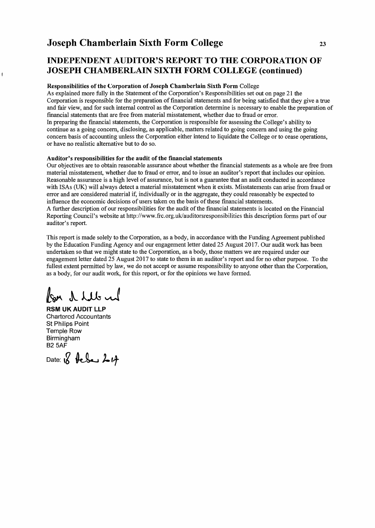# **INDEPENDENT AUDITOR'S REPORT TO THE CORPORATION OF JOSEPH CHAMBERLAIN SIXTH FORM COLLEGE (continued)**

#### **Responsibilities of the** Corporation **of Joseph Chamberlain Sixth Form** College

As explained more fully in the Statement of the Corporation's Responsibilities set out on page 21 the Corporation is responsible for the preparation of financial statements and for being satisfied that they give a true and fair view, and for such internal control as the Corporation determine is necessary to enable the preparation of financial statements that are free from material misstatement, whether due to fraud or error. In preparing the financial statements, the Corporation is responsible for assessing the College's ability to continue as a going concern, disclosing, as applicable, matters related to going concern and using the going concern basis of accounting unless the Corporation either intend to liquidate the College or to cease operations, or have no realistic alternative but to do so.

#### **Auditor's responsibilities for the audit of the financial statements**

Our objectives are to obtain reasonable assurance about whether the [mancial statements as a whole are free from material misstatement, whether due to fraud or error, and to issue an auditor's report that includes our opinion. Reasonable assurance is a high level of assurance, but is not a guarantee that an audit conducted in accordance with ISAs (UK) will always detect a material misstatement when it exists. Misstatements can arise from fraud or error and are considered material if, individually or in the aggregate, they could reasonably be expected to influence the economic decisions of users taken on the basis of these financial statements.

A further description of our responsibilities for the audit of the [mancial statements is located on the Financial Reporting Council's website at http://www.frc.org.uk/auditorsresponsibilities this description forms part of our auditor's report.

This report is made solely to the Corporation, as a body, in accordance with the Funding Agreement published by the Education Funding Agency and our engagement letter dated 25 August 2017. Our audit work has been undertaken so that we might state to the Corporation, as a body, those matters we are required under our engagement letter dated 25 August 2017 to state to them in an auditor's report and for no other purpose. To the fullest extent permitted by law, we do not accept or assume responsibility to anyone other than the Corporation, as a body, for our audit work, for this report, or for the opinions we have formed.

kan & Llb u

 $\mathbf{I}$ 

**RSM UK AUDIT LLP Chartered Accountants St Philips Point Temple Row Birmingham B25AF** 

Date: *8* **febe 2-17**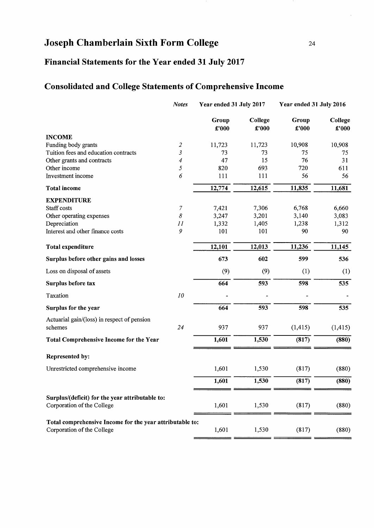# **Financial Statements for the Year ended 31 July 2017**

# **Consolidated and College Statements of Comprehensive Income**

|                                                                                        | <b>Notes</b>   | Year ended 31 July 2017 |                          | Year ended 31 July 2016 |                          |
|----------------------------------------------------------------------------------------|----------------|-------------------------|--------------------------|-------------------------|--------------------------|
|                                                                                        |                | Group<br>£'000          | College<br>$\pounds 000$ | Group<br>$\pounds 000$  | College<br>$\pounds 000$ |
| <b>INCOME</b>                                                                          |                |                         |                          |                         |                          |
| Funding body grants                                                                    | $\mathfrak{2}$ | 11,723                  | 11,723                   | 10,908                  | 10,908                   |
| Tuition fees and education contracts                                                   | 3              | 73                      | 73                       | 75                      | 75                       |
| Other grants and contracts                                                             | 4              | 47                      | 15                       | 76                      | 31                       |
| Other income                                                                           | 5              | 820                     | 693                      | 720                     | 611                      |
| Investment income                                                                      | 6              | 111                     | 111                      | 56                      | 56                       |
| <b>Total income</b>                                                                    |                | 12,774                  | 12,615                   | 11,835                  | 11,681                   |
| <b>EXPENDITURE</b>                                                                     |                |                         |                          |                         |                          |
| Staff costs                                                                            | 7              | 7,421                   | 7,306                    | 6,768                   | 6,660                    |
| Other operating expenses                                                               | 8              | 3,247                   | 3,201                    | 3,140                   | 3,083                    |
| Depreciation                                                                           | 11             | 1,332                   | 1,405                    | 1,238                   | 1,312                    |
| Interest and other finance costs                                                       | 9              | 101                     | 101                      | 90                      | 90                       |
| <b>Total expenditure</b>                                                               |                | 12,101                  | 12,013                   | 11,236                  | 11,145                   |
| Surplus before other gains and losses                                                  |                | 673                     | 602                      | 599                     | 536                      |
| Loss on disposal of assets                                                             |                | (9)                     | (9)                      | (1)                     | (1)                      |
| Surplus before tax                                                                     |                | 664                     | 593                      | 598                     | 535                      |
| Taxation                                                                               | 10             |                         |                          |                         |                          |
| Surplus for the year                                                                   |                | 664                     | 593                      | 598                     | 535                      |
| Actuarial gain/(loss) in respect of pension                                            |                |                         |                          |                         |                          |
| schemes                                                                                | 24             | 937                     | 937                      | (1, 415)                | (1, 415)                 |
| <b>Total Comprehensive Income for the Year</b>                                         |                | 1,601                   | 1,530                    | (817)                   | (880)                    |
| Represented by:                                                                        |                |                         |                          |                         |                          |
| Unrestricted comprehensive income                                                      |                | 1,601                   | 1,530                    | (817)                   | (880)                    |
|                                                                                        |                | 1,601                   | 1,530                    | (817)                   | (880)                    |
| Surplus/(deficit) for the year attributable to:<br>Corporation of the College          |                | 1,601                   | Ξ.<br>1,530              | (817)                   | (880)                    |
| Total comprehensive Income for the year attributable to:<br>Corporation of the College |                | 1,601                   | 1,530                    | (817)                   | (880)                    |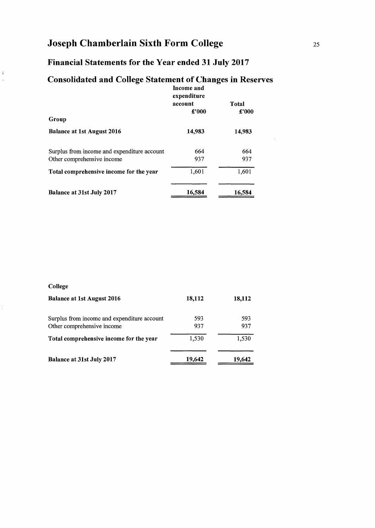# Financial Statements for the Year ended 31 July 2017

# Consolidated and College Statement of Changes in Reserves

|                                             | Income and<br>expenditure<br>account<br>£'000 | Total<br>£'000 |
|---------------------------------------------|-----------------------------------------------|----------------|
| Group                                       |                                               |                |
| <b>Balance at 1st August 2016</b>           | 14,983                                        | 14,983         |
| Surplus from income and expenditure account | 664                                           | 664            |
| Other comprehensive income                  | 937                                           | 937            |
| Total comprehensive income for the year     | 1,601                                         | 1,601          |
| <b>Balance at 31st July 2017</b>            | 16,584                                        | 16,584         |

### College

 $\frac{1}{\epsilon}$ 

 $\frac{1}{2}$ 

| <b>Balance at 1st August 2016</b>           | 18,112 | 18,112 |
|---------------------------------------------|--------|--------|
| Surplus from income and expenditure account | 593    | 593    |
| Other comprehensive income                  | 937    | 937    |
| Total comprehensive income for the year     | 1,530  | 1,530  |
| <b>Balance at 31st July 2017</b>            | 19,642 | 19,642 |

 $\hat{\boldsymbol{\beta}}$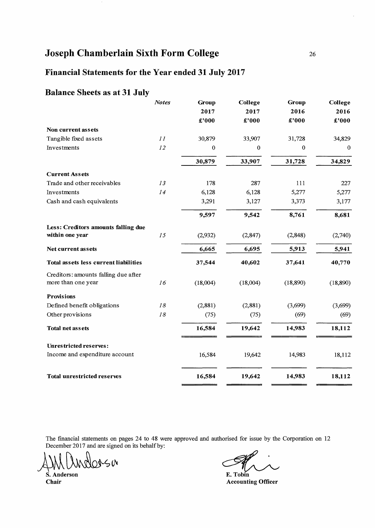# Financial Statements for the Year ended 31 July 2017

## Balance Sheets as at 31 July

| <b>Notes</b> | <b>Group</b>                        | College      | <b>Group</b>     | College   |
|--------------|-------------------------------------|--------------|------------------|-----------|
|              | 2017                                | 2017         | 2016             | 2016      |
|              | £'000                               | £'000        | £'000            | £'000     |
|              |                                     |              |                  |           |
| II           | 30,879                              | 33,907       | 31,728           | 34,829    |
| 12           | $\boldsymbol{0}$                    | $\mathbf{0}$ | $\boldsymbol{0}$ | $\bf{0}$  |
|              | 30,879                              | 33,907       | 31,728           | 34,829    |
|              |                                     |              |                  |           |
| 13           | 178                                 | 287          | 111              | 227       |
| 14           | 6,128                               | 6,128        | 5,277            | 5,277     |
|              | 3,291                               | 3,127        | 3,373            | 3,177     |
|              | 9,597                               | 9,542        | 8,761            | 8,681     |
|              |                                     |              |                  |           |
| 15           | (2,932)                             | (2, 847)     | (2, 848)         | (2,740)   |
|              | 6,665                               | 6,695        | 5,913            | 5,941     |
|              | 37,544                              | 40,602       | 37,641           | 40,770    |
|              |                                     |              |                  |           |
| 16           | (18,004)                            | (18,004)     | (18,890)         | (18, 890) |
|              |                                     |              |                  |           |
| 18           | (2,881)                             | (2,881)      | (3,699)          | (3,699)   |
| $18\,$       | (75)                                | (75)         | (69)             | (69)      |
|              | 16,584                              | 19,642       | 14,983           | 18,112    |
|              |                                     |              |                  |           |
|              | 16,584                              | 19,642       | 14,983           | 18,112    |
|              | 16,584                              | 19,642       | 14,983           | 18,112    |
|              | Less: Creditors amounts falling due |              |                  |           |

The financial statements on pages 24 to 48 were approved and authorised for issue by the Corporation on 12 December 2017 and are signed on its behalf by:

A)}JJ\~~~ s. Anderson

 $\overline{E}$ . Tobin

Chair **Accounting Officer**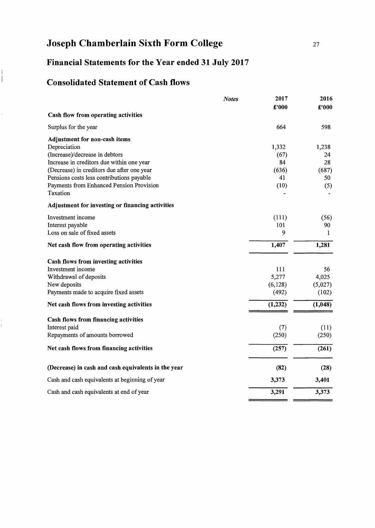# **Financial Statements for the Year ended 31 July 2017**

# **Consolidated Statement of Cash flows**

 $\begin{array}{c} | \\ | \end{array}$ 

Ŷ,

 $\frac{1}{3}$ 

| <b>Notes</b>                                        | 2017     | 2016    |
|-----------------------------------------------------|----------|---------|
|                                                     | £'000    | £'000   |
| Cash flow from operating activities                 |          |         |
| Surplus for the year                                | 664      | 598     |
| Adjustment for non-cash items                       |          |         |
| Depreciation                                        | 1,332    | 1,238   |
| (Increase)/decrease in debtors                      | (67)     | 24      |
| Increase in creditors due within one year           | 84       | 28      |
| (Decrease) in creditors due after one year          | (636)    | (687)   |
| Pensions costs less contributions payable           | 41       | 50      |
| Payments from Enhanced Pension Provision            | (10)     | (5)     |
| Taxation                                            |          |         |
| Adjustment for investing or financing activities    |          |         |
| Investment income                                   | (111)    | (56)    |
| Interest payable                                    | 101      | 90      |
| Loss on sale of fixed assets                        | 9        | 1       |
| Net cash flow from operating activities             | 1,407    | 1,281   |
| Cash flows from investing activities                |          |         |
| Investment income                                   | 111      | 56      |
| Withdrawal of deposits                              | 5,277    | 4,025   |
| New deposits                                        | (6,128)  | (5,027) |
| Payments made to acquire fixed assets               | (492)    | (102)   |
| Net cash flows from investing activities            | (1, 232) | (1,048) |
| Cash flows from financing activities                |          |         |
| Interest paid                                       | (7)      | (11)    |
| Repayments of amounts borrowed                      | (250)    | (250)   |
| Net cash flows from financing activities            | (257)    | (261)   |
| (Decrease) in cash and cash equivalents in the year | (82)     | (28)    |
| Cash and cash equivalents at beginning of year      | 3,373    | 3,401   |
| Cash and cash equivalents at end of year            | 3,291    | 3,373   |

 $\equiv$  $\blacksquare$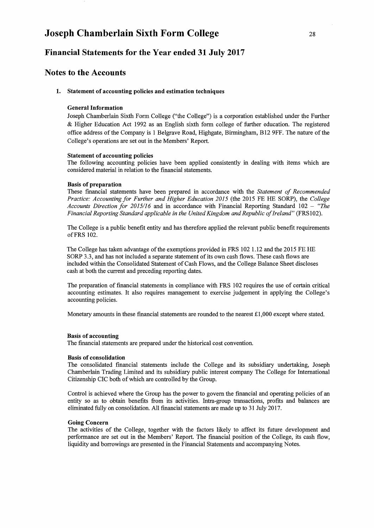### **Financial Statements for the Year ended 31 July 2017**

### **Notes to the Accounts**

#### **1. Statement of accounting policies and estimation techniques**

#### **General Information**

Joseph Chamberlain Sixth Form College ("the College") is a corporation established under the Further & Higher Education Act 1992 as an English sixth form college of further education. The registered office address of the Company is 1 Belgrave Road, Highgate, Birmingham, B12 9FF. The nature of the College's operations are set out in the Members' Report.

#### **Statement of accounting policies**

The following accounting policies have been applied consistently in dealing with items which are considered material in relation to the financial statements.

#### **Basis of preparation**

These financial statements have been prepared in accordance with the *Statement of Recommended Practice: Accounting for Further and Higher Education 2015* (the 2015 FE HE SORP), the *College Accounts Direction for 2015/16* and in accordance with Financial Reporting Standard 102 - *"The Financial Reporting Standard applicable in the United Kingdom and Republic of Ireland"* (FRS102).

The College is a public benefit entity and has therefore applied the relevant public benefit requirements ofFRS 102.

The College has taken advantage of the exemptions provided in FRS 102 1.12 and the 2015 FE HE SORP 3.3, and has not included a separate statement of its own cash flows. These cash flows are included within the Consolidated Statement of Cash Flows, and the College Balance Sheet discloses cash at both the current and preceding reporting dates.

The preparation of financial statements in compliance with FRS 102 requires the use of certain critical accounting estimates. It also requires management to exercise judgement in applying the College's accounting policies.

Monetary amounts in these financial statements are rounded to the nearest £1,000 except where stated.

#### **Basis of accounting**

The financial statements are prepared under the historical cost convention.

#### **Basis of consolidation**

The consolidated financial statements include the College and its subsidiary undertaking, Joseph Chamberlain Trading Limited and its subsidiary public interest company The College for International Citizenship CIC both of which are controlled by the Group.

Control is achieved where the Group has the power to govern the financial and operating policies of an entity so as to obtain benefits from its activities. Intra-group transactions, profits and balances are eliminated fully on consolidation. All financial statements are made up to 31 July 2017.

#### **Going Concern**

The activities of the College, together with the factors likely to affect its future development and performance are set out in the Members' Report. The [mancial position of the College, its cash flow, liquidity and borrowings are presented in the Financial Statements and accompanying Notes.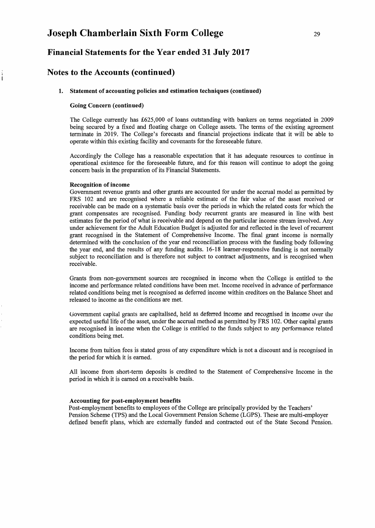### **Financial Statements for the Year ended 31 July 2017**

### **Notes to the Accounts (continued)**

#### **1. Statement of accounting policies and estimation techniques (continued)**

#### **Going Concern (continued)**

Ì

The College currently has £625,000 of loans outstanding with bankers on terms negotiated in 2009 being secured by a fixed and floating charge on College assets. The terms of the existing agreement terminate in 2019. The College's forecasts and fmancial projections indicate that it will be able to operate within this existing facility and covenants for the foreseeable future.

Accordingly the College has a reasonable expectation that it has adequate resources to continue in operational existence for the foreseeable future, and for this reason will continue to adopt the going concern basis in the preparation of its Financial Statements.

#### **Recognition of income**

Government revenue grants and other grants are accounted for under the accrual model as permitted by FRS 102 and are recognised where a reliable estimate of the fair value of the asset received or receivable can be made on a systematic basis over the periods in which the related costs for which the grant compensates are recognised. Funding body recurrent grants are measured in line with best estimates for the period of what is receivable and depend on the particular income stream involved. Any under achievement for the Adult Education Budget is adjusted for and reflected in the level of recurrent grant recognised in the Statement of Comprehensive Income. The fmal grant income is normally determined with the conclusion of the year end reconciliation process with the funding body following the year end, and the results of any funding audits. 16-18 leamer-responsive funding is not normally subject to reconciliation and is therefore not subject to contract adjustments, and is recognised when receivable.

Grants from non-government sources are recognised in income when the College is entitled to the income and performance related conditions have been met. Income received in advance of performance related conditions being met is recognised as deferred income within creditors on the Balance Sheet and released to income as the conditions are met.

Government capital grants are capitalised, held as deferred income and recognised in income over the expected useful life of the asset, under the accrual method as permitted by FRS 102. Other capital grants are recognised in income when the College is entitled to the funds subject to any performance related conditions being met.

Income from tuition fees is stated gross of any expenditure which is not a discount and is recognised in the period for which it is earned.

All income from short-term deposits is credited to the Statement of Comprehensive Income in the period in which it is earned on a receivable basis.

#### **Accounting for post-employment benefits**

Post-employment benefits to employees of the College are principally provided by the Teachers' Pension Scheme (TPS) and the Local Government Pension Scheme (LGPS). These are multi-employer defmed benefit plans, which are externally funded and contracted out of the State Second Pension.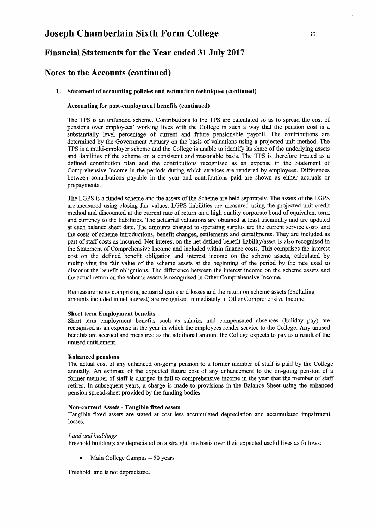### **Financial Statements for the Year ended 31 July 2017**

### **Notes to the Accounts (continued)**

#### 1. Statement of accounting policies and estimation techniques (continued)

#### Accounting for post-employment benefits (continued)

The TPS is an unfunded scheme. Contributions to the TPS are calculated so as to spread the cost of pensions over employees' working lives with the College in such a way that the pension cost is a substantially level percentage of current and future pensionable payroll. The contributions are determined by the Government Actuary on the basis of valuations using a projected unit method. The TPS is a multi-employer scheme and the College is unable to identify its share of the underlying assets and liabilities of the scheme on a consistent and reasonable basis. The TPS is therefore treated as a defmed contribution plan and the contributions recognised as an expense in the Statement of Comprehensive Income in the periods during which services are rendered by employees. Differences between contributions payable in the year and contributions paid are shown as either accruals or prepayments.

The LGPS is a funded scheme and the assets of the Scheme are held separately. The assets of the LGPS are measured using closing fair values. LGPS liabilities are measured using the projected unit credit method and discounted at the current rate of return on a high quality corporate bond of equivalent term and currency to the liabilities. The actuarial valuations are obtained at least triennially and are updated at each balance sheet date. The amounts charged to operating surplus are the current service costs and the costs of scheme introductions, benefit changes, settlements and curtailments. They are included as part of staff costs as incurred. Net interest on the net defined benefit liability/asset is also recognised in the Statement of Comprehensive Income and included within finance costs. This comprises the interest cost on the defined benefit obligation and interest income on the scheme assets, calculated by multiplying the fair value of the scheme assets at the beginning of the period by the rate used to discount the benefit obligations. The difference between the interest income on the scheme assets and the actual return on the scheme assets is recognised in Other Comprehensive Income.

Remeasurements comprising actuarial gains and losses and the return on scheme assets (excluding amounts included in net interest) are recognised immediately in Other Comprehensive Income.

#### Short term Employment benefits

Short term employment benefits such as salaries and compensated absences (holiday pay) are recognised as an expense in the year in which the employees render service to the College. Any unused benefits are accrued and measured as the additional amount the College expects to pay as a result of the unused entitlement.

#### Enhanced pensions

The actual cost of any enhanced on-going pension to a former member of staff is paid by the College annually. An estimate of the expected future cost of any enhancement to the on-going pension of a former member of staff is charged in full to comprehensive income in the year that the member of staff retires. In subsequent years, a charge is made to provisions in the Balance Sheet using the enhanced pension spread-sheet provided by the funding bodies.

#### Non-current Assets - Tangible fixed assets

Tangible fixed assets are stated at cost less accumulated depreciation and accumulated impairment losses.

#### *Land and buildings*

Freehold buildings are depreciated on a straight line basis over their expected useful lives as follows:

Main College Campus - 50 years

Freehold land is not depreciated.

 $\bar{\mathcal{L}}$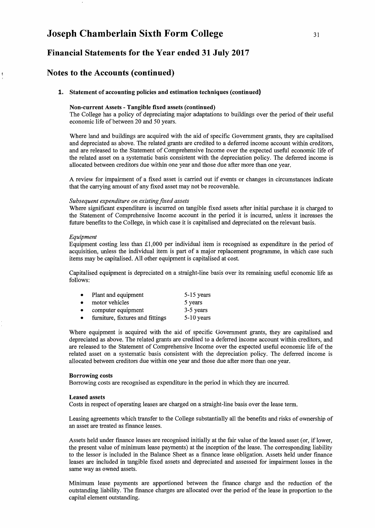### **Financial Statements for the Year ended 31 July 2017**

### **Notes to the Accounts (continued)**

 $\mathbf{I}$ 

#### **1.** Statement of accounting policies and estimation techniques (continued)

#### Non-current Assets - Tangible fixed assets (continued)

The College has a policy of depreciating major adaptations to buildings over the period of their useful economic life of between 20 and 50 years.

Where land and buildings are acquired with the aid of specific Government grants, they are capitalised and depreciated as above. The related grants are credited to a deferred income account within creditors, and are released to the Statement of Comprehensive Income over the expected useful economic life of the related asset on a systematic basis consistent with the depreciation policy. The deferred income is allocated between creditors due within one year and those due after more than one year.

A review for impairment of a fixed asset is carried out if events or changes in circumstances indicate that the carrying amount of any fixed asset may not be recoverable.

#### *Subsequent expenditure on existing fixed assets*

Where significant expenditure is incurred on tangible fixed assets after initial purchase it is charged to the Statement of Comprehensive Income account in the period it is incurred, unless it increases the future benefits to the College, in which case it is capitalised and depreciated on the relevant basis.

#### *Equipment*

Equipment costing less than £1,000 per individual item is recognised as expenditure in the period of acquisition, unless the individual item is part of a major replacement programme, in which case such items may be capitalised. All other equipment is capitalised at cost.

Capitalised equipment is depreciated on a straight-line basis over its remaining useful economic life as follows:

| $\bullet$ | Plant and equipment              | $5-15$ years |
|-----------|----------------------------------|--------------|
| $\bullet$ | motor vehicles                   | 5 years      |
| $\bullet$ | computer equipment               | 3-5 years    |
| ٠         | furniture, fixtures and fittings | $5-10$ years |
|           |                                  |              |

Where equipment is acquired with the aid of specific Government grants, they are capitalised and depreciated as above. The related grants are credited to a deferred income account within creditors, and are released to the Statement of Comprehensive Income over the expected useful economic life of the related asset on a systematic basis consistent with the depreciation policy. The deferred income is allocated between creditors due within one year and those due after more than one year.

#### Borrowing costs

Borrowing costs are recognised as expenditure in the period in which they are incurred.

#### Leased assets

Costs in respect of operating leases are charged on a straight-line basis over the lease term.

Leasing agreements which transfer to the College substantially all the benefits and risks of ownership of an asset are treated as fmance leases.

Assets held under fmance leases are recognised initially at the fair value of the leased asset (or, if lower, the present value of minimum lease payments) at the inception of the lease. The corresponding liability to the lessor is included in the Balance Sheet as a fmance lease obligation. Assets held under fmance leases are included in tangible fixed assets and depreciated and assessed for impairment losses in the same way as owned assets.

Minimum lease payments are apportioned between the finance charge and the reduction of the outstanding liability. The fmance charges are allocated over the period of the lease in proportion to the capital element outstanding.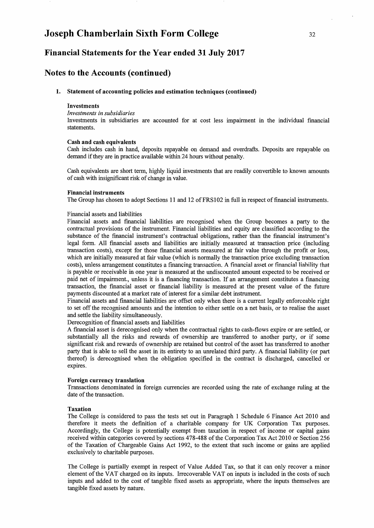### **Financial Statements for the Year ended 31 July 2017**

### **Notes to the Accounts (continued)**

#### **1. Statement of accounting policies and estimation techniques (continued)**

#### **Investments**

#### *Investments in subsidiaries*

Investments in subsidiaries are accounted for at cost less impairment in the individual fmancial statements.

#### **Cash and cash equivalents**

Cash includes cash in hand, deposits repayable on demand and overdrafts. Deposits are repayable on demand if they are in practice available within 24 hours without penalty.

Cash equivalents are short term, highly liquid investments that are readily convertible to known amounts of cash with insignificant risk of change in value.

#### **Financial instruments**

The Group has chosen to adopt Sections 11 and 12 of FRS102 in full in respect of financial instruments.

#### Financial assets and liabilities

Financial assets and fmancial liabilities are recognised when the Group becomes a party to the contractual provisions of the instrument. Financial liabilities and equity are classified according to the substance of the fmancial instrument's contractual obligations, rather than the fmancial instrument's legal form. All fmancial assets and liabilities are initially measured at transaction price (including transaction costs), except for those fmancial assets measured at fair value through the profit or loss, which are initially measured at fair value (which is normally the transaction price excluding transaction costs), unless arrangement constitutes a financing transaction. A financial asset or financial liability that is payable or receivable in one year is measured at the undiscounted amount expected to be received or paid net of impairment., unless it is a fmancing transaction. If an arrangement constitutes a fmancing transaction, the fmancial asset or fmancial liability is measured at the present value of the future payments discounted at a market rate of interest for a similar debt instrument.

Financial assets and financial liabilities are offset only when there is a current legally enforceable right to set off the recognised amounts and the intention to either settle on a net basis, or to realise the asset and settle the liability simultaneously.

#### Derecognition of fmancial assets and liabilities

A fmancial asset is derecognised only when the contractual rights to cash-flows expire or are settled, or substantially all the risks and rewards of ownership are transferred to another party, or if some significant risk and rewards of ownership are retained but control of the asset has transferred to another party that is able to sell the asset in its entirety to an unrelated third party. A financial liability (or part thereof) is derecognised when the obligation specified in the contract is discharged, cancelled or expires.

#### **Foreign currency translation**

Transactions denominated in foreign currencies are recorded using the rate of exchange ruling at the date of the transaction.

#### **Taxation**

The College is considered to pass the tests set out in Paragraph 1 Schedule 6 Finance Act 2010 and therefore it meets the defmition of a charitable company for UK Corporation Tax purposes. Accordingly, the College is potentially exempt from taxation in respect of income or capital gains received within categories covered by sections 478-488 of the Corporation Tax Act 2010 or Section 256 of the Taxation of Chargeable Gains Act 1992, to the extent that such income or gains are applied exclusively to charitable purposes.

The College is partially exempt in respect of Value Added Tax, so that it can only recover a minor element of the VAT charged on its inputs. Irrecoverable VAT on inputs is included in the costs of such inputs and added to the cost of tangible fixed assets as appropriate, where the inputs themselves are tangible fixed assets by nature.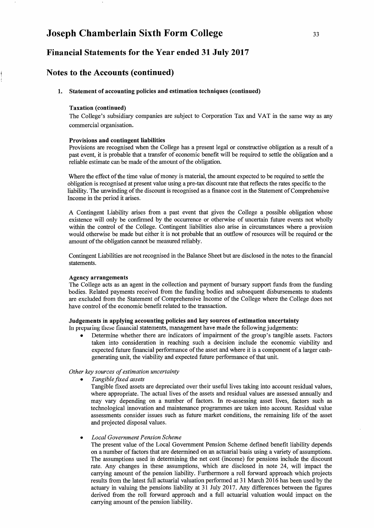### **Financial Statements for the Year ended 31 July 2017**

### **Notes to the Accounts (continued)**

#### 1. Statement of accounting policies and estimation techniques (continued)

#### Taxation (continued)

The College's subsidiary companies are subject to Corporation Tax and VAT in the same way as any commercial organisation.

#### Provisions and contingent liabilities

Provisions are recognised when the College has a present legal or constructive obligation as a result of a past event, it is probable that a transfer of economic benefit will be required to settle the obligation and a reliable estimate can be made of the amount of the obligation.

Where the effect of the time value of money is material, the amount expected to be required to settle the obligation is recognised at present value using a pre-tax discount rate that reflects the rates specific to the liability. The unwinding of the discount is recognised as a finance cost in the Statement of Comprehensive Income in the period it arises.

A Contingent Liability arises from a past event that gives the College a possible obligation whose existence will only be confirmed by the occurrence or otherwise of uncertain future events not wholly within the control of the College. Contingent liabilities also arise in circumstances where a provision would otherwise be made but either it is not probable that an outflow of resources will be required or the amount of the obligation cannot be measured reliably.

Contingent Liabilities are not recognised in the Balance Sheet but are disclosed in the notes to the financial statements.

#### Agency arrangements

The College acts as an agent in the collection and payment of bursary support funds from the funding bodies. Related payments received from the funding bodies and subsequent disbursements to students are excluded from the Statement of Comprehensive Income of the College where the College does not have control of the economic benefit related to the transaction.

#### Judgements in applying accounting policies and key sources of estimation uncertainty

In preparing these financial statements, management have made the following judgements:

• Determine whether there are indicators of impairment of the group's tangible assets. Factors taken into consideration in reaching such a decision include the economic viability and expected future financial performance of the asset and where it is a component of a larger cashgenerating unit, the viability and expected future performance of that unit.

#### *Other key sources of estimation uncertainty*

*• Tangible fixed assets* 

Tangible fixed assets are depreciated over their useful lives taking into account residual values, where appropriate. The actual lives of the assets and residual values are assessed annually and may vary depending on a number of factors. In re-assessing asset lives, factors such as technological innovation and maintenance programmes are taken into account. Residual value assessments consider issues such as future market conditions, the remaining life of the asset and projected disposal values.

#### *• Local Government Pension Scheme*

The present value of the Local Government Pension Scheme defined benefit liability depends on a number of factors that are determined on an actuarial basis using a variety of assumptions. The assumptions used in determining the net cost (income) for pensions include the discount rate. Any changes in these assumptions, which are disclosed in note 24, will impact the carrying amount of the pension liability. Furthermore a roll forward approach which projects results from the latest full actuarial valuation performed at 31 March 2016 has been used by the actuary in valuing the pensions liability at 31 July 2017. Any differences between the figures derived from the roll forward approach and a full actuarial valuation would impact on the carrying amount of the pension liability.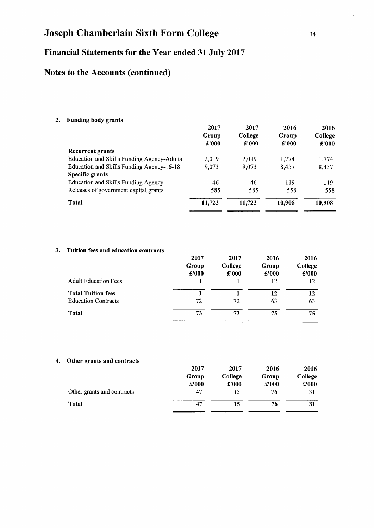# Financial Statements for the Year ended 31 July 2017

# Notes to the Accounts (continued)

### 2. Funding body grants

|                                                   | 2017<br>Group<br>£'000 | 2017<br>College<br>£'000 | 2016<br>Group<br>£'000 | 2016<br>College<br>$\pounds 000$ |
|---------------------------------------------------|------------------------|--------------------------|------------------------|----------------------------------|
| <b>Recurrent grants</b>                           |                        |                          |                        |                                  |
| <b>Education and Skills Funding Agency-Adults</b> | 2.019                  | 2.019                    | 1.774                  | 1,774                            |
| Education and Skills Funding Agency-16-18         | 9,073                  | 9,073                    | 8,457                  | 8,457                            |
| Specific grants                                   |                        |                          |                        |                                  |
| Education and Skills Funding Agency               | 46                     | 46                       | 119                    | 119                              |
| Releases of government capital grants             | 585                    | 585                      | 558                    | 558                              |
| Total                                             | 11,723                 | 11,723                   | 10,908                 | 10,908                           |
|                                                   |                        |                          |                        |                                  |

#### 3. Tuition fees and education contracts

|                             | 2017<br>Group<br>£'000 | 2017<br>College<br>£'000 | 2016<br>Group<br>£'000 | 2016<br>College<br>$\pounds 000$ |
|-----------------------------|------------------------|--------------------------|------------------------|----------------------------------|
| <b>Adult Education Fees</b> |                        |                          | 12                     | 12                               |
| <b>Total Tuition fees</b>   |                        |                          | 12                     | 12                               |
| <b>Education Contracts</b>  | 72                     | 72                       | 63                     | 63                               |
| <b>Total</b>                | 73                     | 73                       | 75                     | 75                               |
|                             |                        |                          |                        |                                  |

#### 4. Other grants and contracts

|                            | 2017  | 2017    | 2016  | 2016    |
|----------------------------|-------|---------|-------|---------|
|                            | Group | College | Group | College |
|                            | £'000 | £'000   | £'000 | £'000   |
| Other grants and contracts | 47    | 15      | 76    | 31      |
| Total                      | 47    | 15      | 76    | 31      |
|                            |       |         |       |         |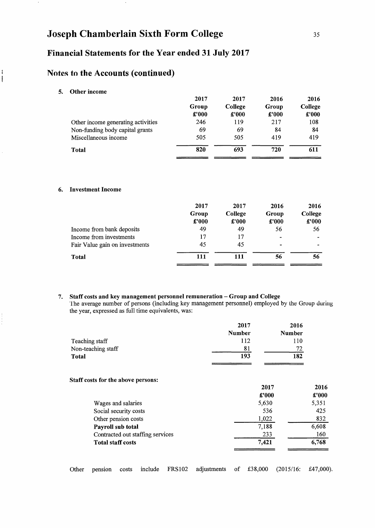# Financial Statements for the Year ended 31 July 2017

### Notes to the Accounts (continued)

5. Other income

 $\frac{1}{1}$ 

 $\begin{array}{c}\n1 \\
1 \\
2\n\end{array}$ 

|                                    | 2017          | 2017    | 2016  | 2016    |
|------------------------------------|---------------|---------|-------|---------|
|                                    | Group         | College | Group | College |
|                                    | $\pounds 000$ | £'000   | £'000 | £'000   |
| Other income generating activities | 246           | 119     | 217   | 108     |
| Non-funding body capital grants    | 69            | 69      | 84    | 84      |
| Miscellaneous income               | 505           | 505     | 419   | 419     |
| <b>Total</b>                       | 820           | 693     | 720   | 611     |

#### 6. Investment Income

|                                | 2017  | 2017    | 2016           | 2016    |
|--------------------------------|-------|---------|----------------|---------|
|                                | Group | College | Group          | College |
|                                | £'000 | £'000   | £'000          | £'000   |
| Income from bank deposits      | 49    | 49      | 56             | 56      |
| Income from investments        | 17    | 17      |                |         |
| Fair Value gain on investments | 45    | 45      | $\blacksquare$ |         |
| <b>Total</b>                   | 111   | 111     | 56             | 56      |
|                                |       |         |                |         |

7. Staff costs and key management personnel remuneration - Group and College The average number of persons (including key management personnel) employed by the Group during the year, expressed as full time equivalents, was:

|                                    | 2017          |       | 2016   |
|------------------------------------|---------------|-------|--------|
|                                    | <b>Number</b> |       | Number |
| Teaching staff                     | 112           |       | 110    |
| Non-teaching staff                 | 81            |       | 72     |
| <b>Total</b>                       | 193           |       | 182    |
|                                    |               |       |        |
| Staff costs for the above persons: |               |       |        |
|                                    |               | 2017  | 2016   |
|                                    |               | £'000 | £'000  |
| Wages and salaries                 |               | 5,630 | 5,351  |
| Social security costs              |               | 536   | 425    |
| Other pension costs                |               | 1,022 | 832    |
| Payroll sub total                  |               | 7,188 | 6,608  |
| Contracted out staffing services   |               | 233   | 160    |
| <b>Total staff costs</b>           |               | 7,421 | 6,768  |
|                                    |               |       |        |
|                                    |               |       |        |

Other pension costs include FRS102 adjustments of £38,000 (2015/16: £47,000).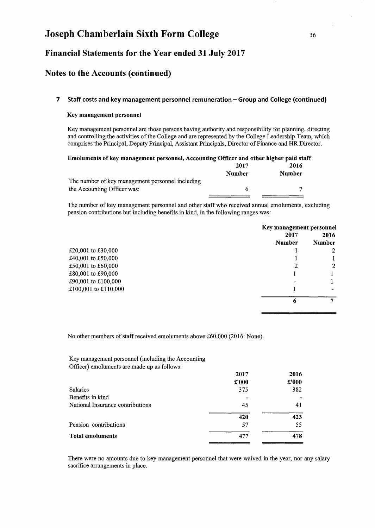### Financial Statements for the Year ended 31 July 2017

### Notes to the Accounts (continued)

#### 7 Staff costs and key management personnel remuneration - Group and College (continued)

#### Key management personnel

Key management personnel are those persons having authority and responsibility for planning, directing and controlling the activities of the College and are represented by the College Leadership Team, which comprises the Principal, Deputy Principal, Assistant Principals, Director of Finance and HR Director.

| Emoluments of key management personnel, Accounting Officer and other higher paid staff |        |        |  |
|----------------------------------------------------------------------------------------|--------|--------|--|
|                                                                                        | 2017   | 2016   |  |
|                                                                                        | Number | Number |  |
| The number of key management personnel including                                       |        |        |  |
| the Accounting Officer was:                                                            | 6      |        |  |

The number of key management personnel and other staff who received annual emoluments, excluding pension contributions but including benefits in kind, in the following ranges was:

|                      |        | Key management personnel |  |
|----------------------|--------|--------------------------|--|
|                      | 2017   | 2016                     |  |
|                      | Number | <b>Number</b>            |  |
| £20,001 to £30,000   |        | 2                        |  |
| £40,001 to £50,000   |        |                          |  |
| £50,001 to £60,000   | 2      | 2                        |  |
| £80,001 to £90,000   |        |                          |  |
| £90,001 to £100,000  |        |                          |  |
| £100,001 to £110,000 |        |                          |  |
|                      | 6      |                          |  |
|                      |        |                          |  |

No other members of staff received emoluments above £60,000 (2016: None).

Key management personnel (including the Accounting

Officer) emoluments are made up as follows: 2017 2016 £'000 £'000

| <b>Total emoluments</b>          | 477 | 478 |
|----------------------------------|-----|-----|
| Pension contributions            | 57  | 55  |
|                                  | 420 | 423 |
| National Insurance contributions | 45  | 41  |
| Benefits in kind                 |     |     |
| Salaries                         | 375 | 382 |

There were no amounts due to key management personnel that were waived in the year, nor any salary sacrifice arrangements in place.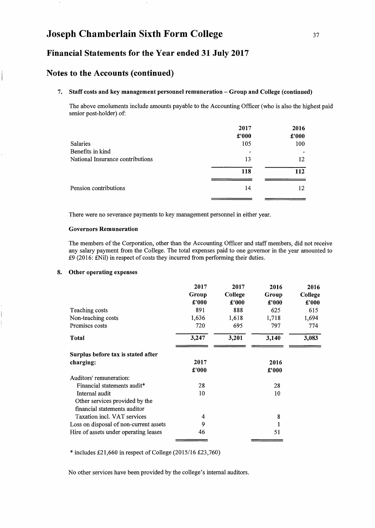# Financial Statements for the Year ended 31 July 2017

### Notes to the Accounts (continued)

#### 7. Staff costs and key management personnel remuneration - Group and College (continued)

The above emoluments include amounts payable to the Accounting Officer (who is also the highest paid senior post-holder) of:

|                                  | 2017           | 2016  |
|----------------------------------|----------------|-------|
|                                  | £'000          | £'000 |
| Salaries                         | 105            | 100   |
| Benefits in kind                 | $\blacksquare$ |       |
| National Insurance contributions | 13             | 12    |
|                                  | 118            | 112   |
| Pension contributions            | 14             | 12    |

There were no severance payments to key management personnel in either year.

#### Governors Remuneration

The members of the Corporation, other than the Accounting Officer and staff members, did not receive any salary payment from the College. The total expenses paid to one governor in the year amounted to £9 (2016: £Nil) in respect of costs they incurred from performing their duties.

#### 8. Other operating expenses

|                                         | 2017  | 2017    | 2016  | 2016    |
|-----------------------------------------|-------|---------|-------|---------|
|                                         | Group | College | Group | College |
|                                         | £'000 | £'000   | £'000 | £'000   |
| Teaching costs                          | 891   | 888     | 625   | 615     |
| Non-teaching costs                      | 1,636 | 1,618   | 1,718 | 1,694   |
| Premises costs                          | 720   | 695     | 797   | 774     |
| Total                                   | 3,247 | 3,201   | 3,140 | 3,083   |
| Surplus before tax is stated after      |       |         |       |         |
| charging:                               | 2017  |         | 2016  |         |
|                                         | £'000 |         | £'000 |         |
| Auditors' remuneration:                 |       |         |       |         |
| Financial statements audit <sup>*</sup> | 28    |         | 28    |         |
| Internal audit                          | 10    |         | 10    |         |
| Other services provided by the          |       |         |       |         |
| financial statements auditor            |       |         |       |         |
| Taxation incl. VAT services             | 4     |         | 8     |         |
| Loss on disposal of non-current assets  | 9     |         | 1     |         |
| Hire of assets under operating leases   | 46    |         | 51    |         |

\* includes £21,660 in respect of College (2015/16 £23,760)

No other services have been provided by the college's internal auditors.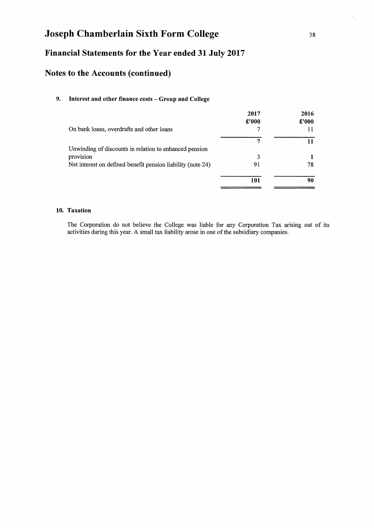# **Financial Statements for the Year ended 31 July 2017**

# **Notes to the Accounts (continued)**

#### **9. Interest and other finance costs - Group and College**

|                                                             | 2017<br>$\pounds 000$ | 2016<br>£'000 |
|-------------------------------------------------------------|-----------------------|---------------|
| On bank loans, overdrafts and other loans                   |                       |               |
|                                                             | 7                     |               |
| Unwinding of discounts in relation to enhanced pension      |                       |               |
| provision                                                   | 3                     |               |
| Net interest on defined benefit pension liability (note 24) | 91                    | 78            |
|                                                             | 101                   | 90            |

#### **lO. Taxation**

The Corporation do not believe the College was liable for any Corporation Tax arising out of its activities during this year. A small tax liability arose in one of the subsidiary companies.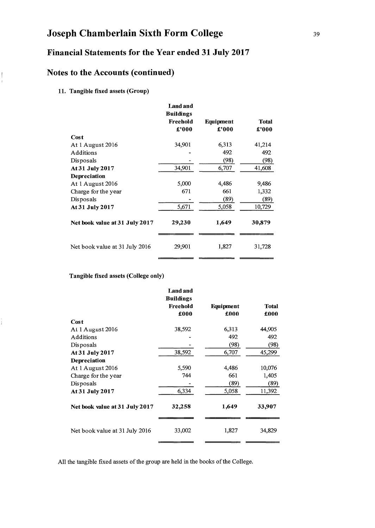# Financial Statements for the Year ended 31 July 2017

## Notes to the Accounts (continued)

11. Tangible fixed assets (Group)

 $\begin{array}{c} \rule{0pt}{2ex} \rule{0pt}{2ex} \rule{0pt}{2ex} \rule{0pt}{2ex} \rule{0pt}{2ex} \rule{0pt}{2ex} \rule{0pt}{2ex} \rule{0pt}{2ex} \rule{0pt}{2ex} \rule{0pt}{2ex} \rule{0pt}{2ex} \rule{0pt}{2ex} \rule{0pt}{2ex} \rule{0pt}{2ex} \rule{0pt}{2ex} \rule{0pt}{2ex} \rule{0pt}{2ex} \rule{0pt}{2ex} \rule{0pt}{2ex} \rule{0pt}{2ex} \rule{0pt}{2ex} \rule{0pt}{2ex} \rule{0pt}{2ex} \rule{0pt}{$ 

ì

|                                | Land and<br><b>Buildings</b> |           |        |
|--------------------------------|------------------------------|-----------|--------|
|                                | Freehold                     | Equipment | Total  |
|                                | £'000                        | £'000     | £'000  |
| $\cos t$                       |                              |           |        |
| At 1 August 2016               | 34,901                       | 6,313     | 41,214 |
| Additions                      |                              | 492       | 492    |
| Disposals                      |                              | (98)      | (98)   |
| <b>At 31 July 2017</b>         | 34,901                       | 6,707     | 41,608 |
| Depreciation                   |                              |           |        |
| At 1 August 2016               | 5,000                        | 4,486     | 9,486  |
| Charge for the year            | 671                          | 661       | 1,332  |
| Disposals                      |                              | (89)      | (89)   |
| <b>At 31 July 2017</b>         | 5,671                        | 5,058     | 10,729 |
| Net book value at 31 July 2017 | 29,230                       | 1,649     | 30,879 |
| Net book value at 31 July 2016 | 29,901                       | 1,827     | 31,728 |

Tangible fixed assets (College only)

|                                | Land and<br><b>Buildings</b> |           |        |
|--------------------------------|------------------------------|-----------|--------|
|                                | Freehold                     | Equipment | Total  |
|                                | £000                         | £000      | £000   |
| Cost                           |                              |           |        |
| <b>At 1 August 2016</b>        | 38,592                       | 6,313     | 44,905 |
| Additions                      |                              | 492       | 492    |
| Disposals                      |                              | (98)      | (98)   |
| At 31 July 2017                | 38,592                       | 6,707     | 45,299 |
| Depreciation                   |                              |           |        |
| At 1 August 2016               | 5,590                        | 4,486     | 10,076 |
| Charge for the year            | 744                          | 661       | 1,405  |
| Disposals                      |                              | (89)      | (89)   |
| <b>At 31 July 2017</b>         | 6,334                        | 5,058     | 11,392 |
| Net book value at 31 July 2017 | 32,258                       | 1,649     | 33,907 |
| Net book value at 31 July 2016 | 33,002                       | 1,827     | 34,829 |

All the tangible fixed assets of the group are held in the books of the College.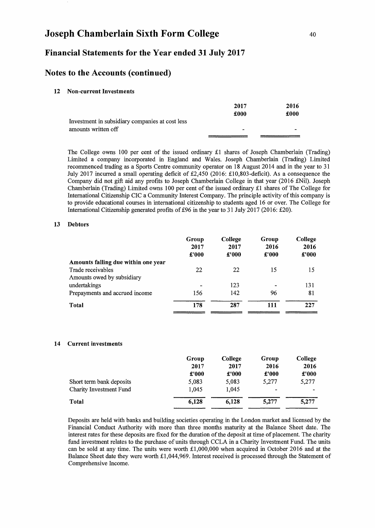### Financial Statements for the Year ended 31 July 2017

### Notes to the Accounts (continued)

#### 12 Non-current Investments

|                                                 | 2017 | 2016 |
|-------------------------------------------------|------|------|
|                                                 | £000 | £000 |
| Investment in subsidiary companies at cost less |      |      |
| amounts written off                             |      |      |

The College owns 100 per cent of the issued ordinary  $£1$  shares of Joseph Chamberlain (Trading) Limited a company incorporated in England and Wales. Joseph Chamberlain (Trading) Limited recommenced trading as a Sports Centre community operator on 18 August 2014 and in the year to 31 July 2017 incurred a small operating deficit of £2,450 (2016: £10,803-deficit). As a consequence the Company did not gift aid any profits to Joseph Chamberlain College in that year (2016 £Nil). Joseph Chamberlain (Trading) Limited owns 100 per cent of the issued ordinary £1 shares of The College for International Citizenship CIC a Community Interest Company. The principle activity of this company is to provide educational courses in international citizenship to students aged 16 or over. The College for International Citizenship generated profits of £96 in the year to 31 July 2017 (2016: £20).

#### 13 Debtors

|                                     | Group<br>2017<br>£'000 | College<br>2017<br>£'000 | Group<br>2016<br>£'000 | College<br>2016<br>£'000 |
|-------------------------------------|------------------------|--------------------------|------------------------|--------------------------|
| Amounts falling due within one year |                        |                          |                        |                          |
| Trade receivables                   | 22                     | 22                       | 15                     | 15                       |
| Amounts owed by subsidiary          |                        |                          |                        |                          |
| undertakings                        |                        | 123                      |                        | 131                      |
| Prepayments and accrued income      | 156                    | 142                      | 96                     | 81                       |
| Total                               | 178                    | 287                      |                        | 227                      |

#### 14 Current investments

|                                | Group<br>2017<br>£'000 | College<br>2017<br>£'000 | Group<br>2016<br>£'000 | College<br>2016<br>£'000 |
|--------------------------------|------------------------|--------------------------|------------------------|--------------------------|
| Short term bank deposits       | 5,083                  | 5,083                    | 5,277                  | 5,277                    |
| <b>Charity Investment Fund</b> | 1,045                  | 1.045                    | $\blacksquare$         |                          |
| Total                          | 6,128                  | 6,128                    | 5,277                  | 5.277                    |

Deposits are held with banks and building societies operating in the London market and licensed by the Financial Conduct Authority with more than three months maturity at the Balance Sheet date. The interest rates for these deposits are fixed for the duration of the deposit at time of placement. The charity fund investment relates to the purchase of units through CCLA in a Charity Investment Fund. The units can be sold at any time. The units were worth  $£1,000,000$  when acquired in October 2016 and at the Balance Sheet date they were worth £1,044,969. Interest received is processed through the Statement of Comprehensive Income.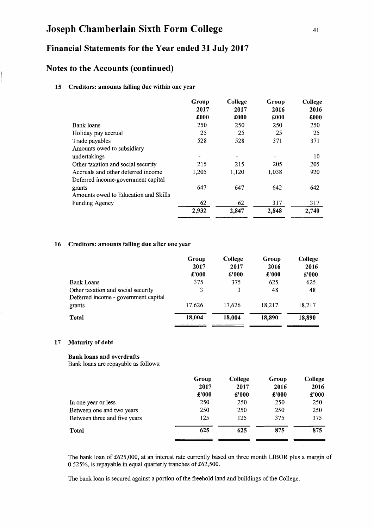### Financial Statements for the Year ended 31 July 2017

## Notes to the Accounts (continued)

#### 15 Creditors: amounts falling due within one year

|                                                                          | Group<br>2017<br>£000 | College<br>2017<br>£000 | Group<br>2016<br>£000 | College<br>2016<br>£000 |
|--------------------------------------------------------------------------|-----------------------|-------------------------|-----------------------|-------------------------|
| Bank loans                                                               | 250                   | 250                     | 250                   | 250                     |
| Holiday pay accrual                                                      | 25                    | 25                      | 25                    | 25                      |
| Trade payables                                                           | 528                   | 528                     | 371                   | 371                     |
| Amounts owed to subsidiary                                               |                       |                         |                       |                         |
| undertakings                                                             |                       |                         |                       | 10                      |
| Other taxation and social security                                       | 215                   | 215                     | 205                   | 205                     |
| Accruals and other deferred income<br>Deferred income-government capital | 1,205                 | 1,120                   | 1,038                 | 920                     |
| grants<br>Amounts owed to Education and Skills                           | 647                   | 647                     | 642                   | 642                     |
| <b>Funding Agency</b>                                                    | 62                    | 62                      | 317                   | 317                     |
|                                                                          | 2,932                 | 2,847                   | 2,848                 | 2,740                   |

#### 16 Creditors: amounts falling due after one year

|                                                                            | Group<br>2017<br>£'000 | College<br>2017<br>£'000 | Group<br>2016<br>£'000 | College<br>2016<br>£'000 |
|----------------------------------------------------------------------------|------------------------|--------------------------|------------------------|--------------------------|
| <b>Bank Loans</b>                                                          | 375                    | 375                      | 625                    | 625                      |
| Other taxation and social security<br>Deferred income - government capital | 3                      | 3                        | 48                     | 48                       |
| grants                                                                     | 17.626                 | 17,626                   | 18.217                 | 18,217                   |
| Total                                                                      | 18,004                 | 18,004                   | 18.890                 | 18.890                   |

#### 17 Maturity of debt

#### Bank loans and overdrafts

Bank loans are repayable as follows:

|                              | Group<br>2017 | College<br>2017 | Group<br>2016 | College<br>2016 |
|------------------------------|---------------|-----------------|---------------|-----------------|
|                              | £'000         | $\pounds 000$   | $\pounds 000$ | $\pounds 000$   |
| In one year or less          | 250           | 250             | 250           | 250             |
| Between one and two years    | 250           | 250             | 250           | 250             |
| Between three and five years | 125           | 125             | 375           | 375             |
| Total                        | 625           | 625             | 875           | 875             |
|                              |               |                 |               |                 |

The bank loan of £625,000, at an interest rate currently based on three month LIBOR plus a margin of 0.525%, is repayable in equal quarterly tranches of £62,500.

The bank loan is secured against a portion of the freehold land and buildings of the College.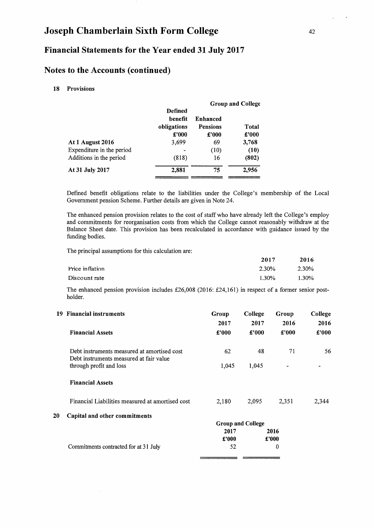# Financial Statements for the Year ended 31 July 2017

### Notes to the Accounts (continued)

#### 18 Provisions

|                           |                           |                 | <b>Group and College</b> |
|---------------------------|---------------------------|-----------------|--------------------------|
|                           | <b>Defined</b><br>henefit | <b>Enhanced</b> |                          |
|                           | obligations               | <b>Pensions</b> | Total                    |
|                           | £'000                     | $\pounds'000$   | $\pounds 000$            |
| At 1 August 2016          | 3,699                     | 69              | 3,768                    |
| Expenditure in the period |                           | (10)            | (10)                     |
| Additions in the period   | (818)                     | 16              | (802)                    |
| At 31 July 2017           | 2,881                     | 75              | 2,956                    |

Defmed benefit obligations relate to the liabilities under the College's membership of the Local Government pension Scheme. Further details are given in Note 24.

The enhanced pension provision relates to the cost of staff who have already left the College's employ and commitments for reorganisation costs from which the College cannot reasonably withdraw at the Balance Sheet date. This provision has been recalculated in accordance with guidance issued by the funding bodies.

The principal assumptions for this calculation are:

 $\bar{\beta}$ 

|                 | 2017  | 2016  |
|-----------------|-------|-------|
| Price inflation | 2.30% | 2.30% |
| Discount rate   | 1.30% | 1.30% |

The enhanced pension provision includes £26,008 (2016: £24,161) in respect of a former senior postholder.

| 19 | <b>Financial instruments</b>                                                           | Group<br>2017 | College<br>2017          | Group<br>2016 | College<br>2016 |
|----|----------------------------------------------------------------------------------------|---------------|--------------------------|---------------|-----------------|
|    | <b>Financial Assets</b>                                                                | £'000         | £'000                    | $\pounds 000$ | $\pounds 000$   |
|    | Debt instruments measured at amortised cost<br>Debt instruments measured at fair value | 62            | 48                       | 71            | 56              |
|    | through profit and loss                                                                | 1,045         | 1,045                    |               |                 |
|    | <b>Financial Assets</b>                                                                |               |                          |               |                 |
|    | Financial Liabilities measured at amortised cost                                       | 2,180         | 2,095                    | 2,351         | 2,344           |
| 20 | Capital and other commitments                                                          |               |                          |               |                 |
|    |                                                                                        |               | <b>Group and College</b> |               |                 |
|    |                                                                                        | 2017          |                          | 2016          |                 |
|    |                                                                                        | £'000         |                          | £'000         |                 |
|    | Commitments contracted for at 31 July                                                  | 52            |                          | $\theta$      |                 |
|    |                                                                                        |               |                          |               |                 |

 $\overline{a}$ 

 $\overline{\phantom{a}}$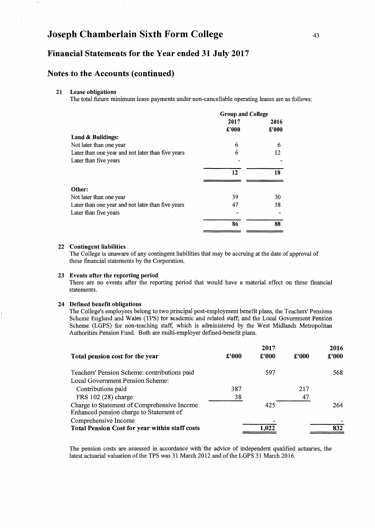### Financial Statements for the Year ended 31 July 2017

### Notes to the Accounts (continued)

#### 21 Lease obligations

The total future minimum lease payments under non-cancellable operating leases are as follows:

|                                                   | <b>Group and College</b> |       |  |
|---------------------------------------------------|--------------------------|-------|--|
|                                                   | 2017                     | 2016  |  |
|                                                   | £'000                    | £'000 |  |
| Land & Buildings:                                 |                          |       |  |
| Not later than one year                           | 6                        | 6     |  |
| Later than one year and not later than five years | 6                        | 12    |  |
| Later than five years                             |                          |       |  |
|                                                   | 12                       | 18    |  |
| Other:                                            |                          |       |  |
| Not later than one year                           | 39                       | 30    |  |
| Later than one year and not later than five years | 47                       | 58    |  |
| Later than five years                             |                          |       |  |
|                                                   | 86                       | 88    |  |

#### 22 Contingent liabilities

The College is unaware of any contingent liabilities that may be accruing at the date of approval of these financial statements by the Corporation.

#### 23 Events after the reporting period

There are no events after the reporting period that would have a material effect on these financial statements.

#### 24 Defined benefit obligations

The College's employees belong to two principal post-employment benefit plans, the Teachers' Pensions Scheme England and Wales (TPS) tor academic and related staff; and the Local Govornment Pension Scheme (LGPS) for non-teaching staff, which is administered by the West Midlands Metropolitan Authorities Pension Fund. Both are multi-employer defined-benefit plans.

|                                                                                        |       | 2017  |       | 2016  |
|----------------------------------------------------------------------------------------|-------|-------|-------|-------|
| Total pension cost for the year                                                        | £'000 | £'000 | £'000 | £'000 |
| Teachers' Pension Scheme: contributions paid                                           |       | 597   |       | 568   |
| <b>Local Government Pension Scheme:</b>                                                |       |       |       |       |
| Contributions paid                                                                     | 387   |       | 217   |       |
| FRS 102 (28) charge                                                                    | 38    |       | 47    |       |
| Charge to Statement of Comprehensive Income<br>Enhanced pension charge to Statement of |       | 425   |       | 264   |
| Comprehensive Income                                                                   |       |       |       |       |
| <b>Total Pension Cost for year within staff costs</b>                                  |       | 1.022 |       | 832   |

The pension costs are assessed in accordance with the advice of independent qualified actuaries, the latest actuarial valuation of the TPS was 31 March 2012 and of the LGPS 31 March 2016.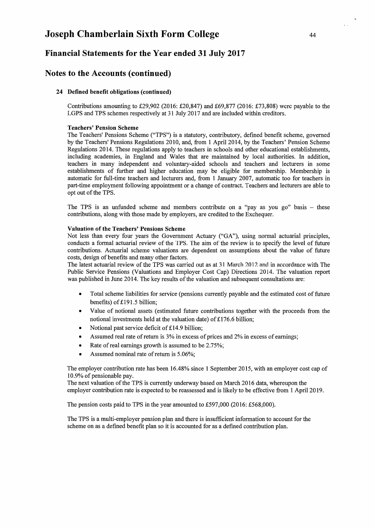### **Financial Statements for the Year ended 31 July 2017**

### **Notes to the Accounts (continued)**

#### **24 Defined benefit obligations (continued)**

Contributions amounting to £29,902 (2016: £20,847) and £69,877 (2016: £73,808) were payable to the LGPS and TPS schemes respectively at 31 July 2017 and are included within creditors.

#### **Teachers' Pension Scheme**

The Teachers' Pensions Scheme ("TPS") is a statutory, contributory, defined benefit scheme, governed by the Teachers' Pensions Regulations 2010, and, from 1 Apri12014, by the Teachers' Pension Scheme Regulations 2014. These regulations apply to teachers in schools and other educational establishments, including academies, in England and Wales that are maintained by local authorities. In addition, teachers in many independent and voluntary-aided schools and teachers and lecturers in some establishments of further and higher education may be eligible for membership. Membership is automatic for full-time teachers and lecturers and, from 1 January 2007, automatic too for teachers in part-time employment following appointment or a change of contract. Teachers and lecturers are able to opt out of the TPS.

The TPS is an unfunded scheme and members contribute on a "pay as you go" basis  $-$  these contributions, along with those made by employers, are credited to the Exchequer.

#### **Valuation of the Teachers' Pensions Scheme**

Not less than every four years the Government Actuary ("GA"), using normal actuarial principles, conducts a formal actuarial review of the TPS. The aim of the review is to specify the level of future contributions. Actuarial scheme valuations are dependent on assumptions about the value of future costs, design of benefits and many other factors.

The latest actuarial review of the TPS was carried out as at 11 March ?01? and in accordance with The Public Service Pensions (Valuations and Employer Cost Cap) Directions 2014. The valuation report was published in June 2014. The key results of the valuation and subsequent consultations are:

- Total scheme liabilities for service (pensions currently payable and the estimated cost of future benefits) of £191.5 billion;
- Value of notional assets (estimated future contributions together with the proceeds from the notional investments held at the valuation date) of £176.6 billion;
- Notional past service deficit of £14.9 billion;
- Assumed real rate of return is 3% in excess of prices and 2% in excess of earnings;
- Rate of real earnings growth is assumed to be 2.75%;
- Assumed nominal rate of return is 5.06%;

The employer contribution rate has been 16.48% since 1 September 2015, with an employer cost cap of 10.9% of pensionable pay.

The next valuation of the TPS is currently underway based on March 2016 data, whereupon the employer contribution rate is expected to be reassessed and is likely to be effective from 1 April 2019.

The pension costs paid to TPS in the year amounted to £597,000 (2016: £568,000).

The TPS is a multi-employer pension plan and there is insufficient information to account for the scheme on as a defined benefit plan so it is accounted for as a defmed contribution plan.

Ų  $\hat{p}$  .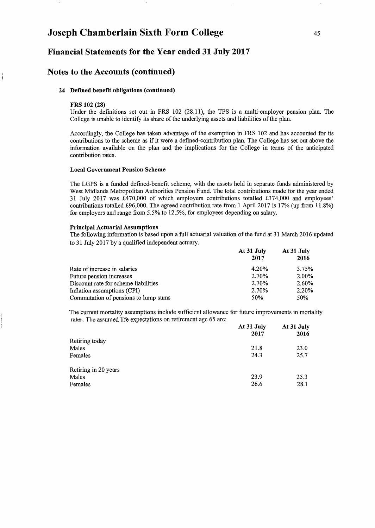### **Financial Statements for the Year ended 31 July 2017**

#### Notes **tu nie Accounts (continued)**

#### 24 Defined benefit obligations (continued)

#### FRS 102 (28)

í

Under the defmitions set out in FRS 102 (28.11), the TPS is a multi-employer pension plan. The College is unable to identify its share of the underlying assets and liabilities of the plan.

Accordingly, the College has taken advantage of the exemption in FRS 102 and has accounted for its contributions to the scheme as if it were a defmed-contribution plan. The College has set out above the information available on the plan and the implications for the College in terms of the anticipated contribution rates.

#### Local Government Pension Scheme

The LGPS is a funded defmed-benefit scheme, with the assets held in separate funds administered by West Midlands Metropolitan Authorities Pension Fund. The total contributions made for the year ended 31 July 2017 was £470,000 of which employers contributions totalled £374,000 and employees' contributions totalled £96,000. The agreed contribution rate from 1 April2017 is 17% (up from 11.8%) for employers and range from 5.5% to 12.5%, for employees depending on salary.

#### Principal Actuarial Assumptions

The following information is based upon a full actuarial valuation of the fund at 31 March 2016 updated to 31 July 2017 by a qualified independent actuary.

|                                      | At 31 July | At 31 July |  |
|--------------------------------------|------------|------------|--|
|                                      | 2017       | 2016       |  |
| Rate of increase in salaries         | 4.20%      | 3.75%      |  |
| Future pension increases             | 2.70%      | 2.00%      |  |
| Discount rate for scheme liabilities | 2.70%      | 2.60%      |  |
| Inflation assumptions (CPI)          | 2.70%      | 2.20%      |  |
| Commutation of pensions to lump sums | 50%        | 50%        |  |

The current mortality assumptions include sufficient allowance for future improvements in mortality rates. The assumed life expectations on retirement age 65 arc:

|                         | At 31 July<br>2017 | $\Lambda t$ 31 July<br>2016 |
|-------------------------|--------------------|-----------------------------|
| Retiring today<br>Males |                    | 23.0                        |
|                         | 21.8               |                             |
| Females                 | 24.3               | 25.7                        |
| Retiring in 20 years    |                    |                             |
| Males                   | 23.9               | 25.3                        |
| Females                 | 26.6               | 28.1                        |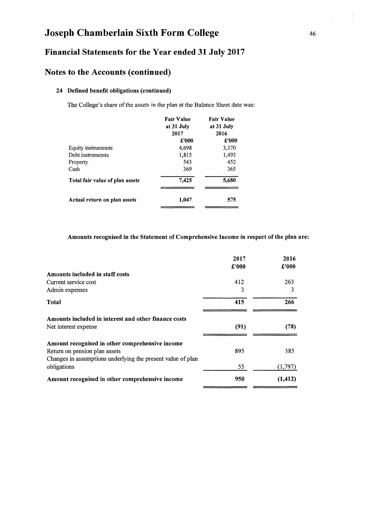# Financial Statements for the Year ended 31 July 2017

## Notes to the Accounts (continued)

#### 24 Defined benefit obligations (continued)

The College's share of the assets in the plan at the Balance Sheet date was:

|                                 | <b>Fair Value</b><br>at 31 July<br>2017 | <b>Fair Value</b><br>at 31 July<br>2016 |
|---------------------------------|-----------------------------------------|-----------------------------------------|
|                                 | £'000                                   | £'000                                   |
| Equity instrumemts              | 4,698                                   | 3,370                                   |
| Debt instrumemts                | 1,815                                   | 1,493                                   |
| Property                        | 543                                     | 452                                     |
| Cash                            | 369                                     | 365                                     |
| Total fair value of plan assets | 7,425                                   | 5,680                                   |
| Actual return on plan assets    | 1.047                                   | 575                                     |

### Amounts recognised in the Statement of Comprehensive Income in respect of the plan are:

|                                                             | 2017<br>£'000 | 2016<br>$\pounds 000$ |
|-------------------------------------------------------------|---------------|-----------------------|
| Amounts included in staff costs                             |               |                       |
| Current service cost                                        | 412           | 263                   |
| Admin expenses                                              | 3             | 3                     |
| Total                                                       | 415           | 266                   |
| Amounts included in interest and other finance costs        |               |                       |
| Net interest expense                                        | (91)          | (78)                  |
| Amount recognised in other comprehensive income             |               |                       |
| Return on pension plan assets                               | 895           | 385                   |
| Changes in assumptions underlying the present value of plan |               |                       |
| obligations                                                 | 55            | (1,797)               |
| Amount recognised in other comprehensive income             | 950           | (1, 412)              |

 $\sim$   $\lambda$ 

 $\mathcal{L}^{\text{max}}$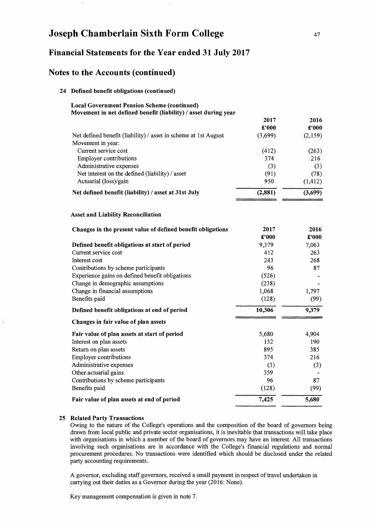### **Financial Statements for the Year ended 31 July 2017**

### **Notes to the Accounts (continued)**

#### 24 Defined benefit obligations (continued)

| <b>Local Government Pension Scheme (continued)</b>              |          |               |
|-----------------------------------------------------------------|----------|---------------|
| Movement in net defined benefit (liability) / asset during year |          |               |
|                                                                 | 2017     | 2016          |
|                                                                 | £'000    | $\pounds 000$ |
| Net defined benefit (liability) / asset in scheme at 1st August | (3,699)  | (2,159)       |
| Movement in year:                                               |          |               |
| Current service cost                                            | (412)    | (263)         |
| <b>Employer contributions</b>                                   | 374      | 216           |
| Administrative expenses                                         | (3)      | (3)           |
| Net interest on the defined (liability) / asset                 | (91)     | (78)          |
| Actuarial (loss)/gain                                           | 950      | (1, 412)      |
| Net defined benefit (liability) / asset at 31st July            | (2, 881) | (3,699)       |
| <b>Asset and Liability Reconciliation</b>                       |          |               |
| Changes in the present value of defined benefit obligations     | 2017     | 2016          |
|                                                                 | £'000    | £'000         |
| Defined benefit obligations at start of period                  | 9,379    | 7,063         |
| Current service cost                                            | 412      | 263           |
| Interest cost                                                   | 243      | 268           |
| Contributions by scheme participants                            | 96       | 87            |
| Experience gains on defined benefit obligations                 | (526)    |               |
| Change in demographic assumptions                               | (238)    |               |
| Change in financial assumptions                                 | 1,068    | 1,797         |
| Benefits paid                                                   | (128)    | (99)          |
| Defined benefit obligations at end of period                    | 10,306   | 9,379         |
| Changes in fair value of plan assets                            |          |               |
| Fair value of plan assets at start of period                    | 5,680    | 4,904         |
| Interest on plan assets                                         | 152      | 190           |
| Return on plan assets                                           | 895      | 385           |
| <b>Employer contributions</b>                                   | 374      | 216           |
| Administrative expenses                                         | (3)      | (3)           |
| Other actuarial gains                                           | 359      |               |
| Contributions by scheme participants                            | 96       | 87            |
| Benefits paid                                                   | (128)    | (99)          |
| Fair value of plan assets at end of period                      | 7,425    | 5,680         |

#### 25 Related Party Transactions

 $\frac{1}{4}$ 

Owing to the nature of the College's operations and the composition of the board of governors being drawn from local public and private sector organisations, it is inevitable that transactions will take place with organisations in which a member of the board of governors may have an interest. All transactions involving such organisations are in accordance with the College's financial regulations and normal procurement procedures. No transactions were identified which should be disclosed under the related party accounting requirements.

A governor, excluding staff governors, received a small payment in respect of travel undertaken in carrying out their duties as a Governor during the year (2016: None).

Key management compensation is given in note 7.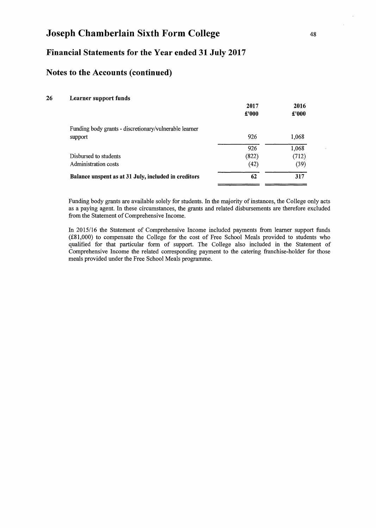### **Financial Statements for the Year ended 31 July 2017**

### **Notes to the Accounts (continued)**

#### 26 Learner support funds

|                                                        | 2017<br>£'000 | 2016<br>£'000 |
|--------------------------------------------------------|---------------|---------------|
| Funding body grants - discretionary/vulnerable learner |               |               |
| support                                                | 926           | 1,068         |
|                                                        | 926           | 1,068         |
| Disbursed to students                                  | (822)         | (712)         |
| Administration costs                                   | (42)          | (39)          |
| Balance unspent as at 31 July, included in creditors   | 62            | 317           |
|                                                        |               |               |

Funding body grants are available solely for students. In the majority of instances, the College only acts as a paying agent. In these circumstances, the grants and related disbursements are therefore excluded from the Statement of Comprehensive Income.

In 2015/16 the Statement of Comprehensive Income included payments from learner support funds (£81,000) to compensate the College for the cost of Free School Meals provided to students who qualitied for that particular form of support. The College also included in the Statement of Comprehensive Income the related corresponding payment to the catering franchise-holder for those meals provided under the Free School Meals programme.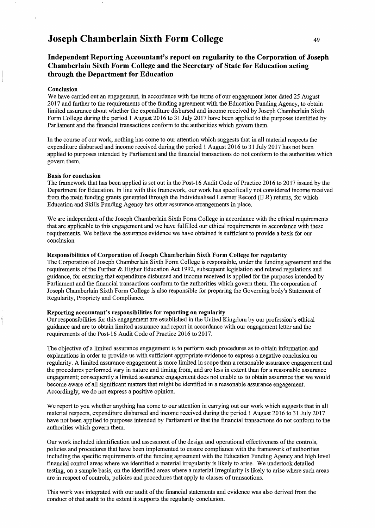### **Independent Reporting Accountant's report on regularity to the Corporation of Joseph Chamberlain Sixth Form College and the Secretary of State for Education acting through the Department for Education**

#### **Conclusion**

We have carried out an engagement, in accordance with the terms of our engagement letter dated 25 August 2017 and further to the requirements of the funding agreement with the Education Funding Agency, to obtain limited assurance about whether the expenditure disbursed and income received by Joseph Chamberlain Sixth Form College during the period 1 August 2016 to 31 July 2017 have been applied to the purposes identified by Parliament and the financial transactions conform to the authorities which govern them.

In the course of our work, nothing has come to our attention which suggests that in all material respects the expenditure disbursed and income received during the period 1 August 2016 to 31 July 2017 has not been applied to purposes intended by Parliament and the financial transactions do not conform to the authorities which govern them.

#### **Basis for conclusion**

The framework that has been applied is set out in the Post-16 Audit Code of Practice 2016 to 2017 issued by the Department for Education. In line with this framework, our work has specifically not considered income received from the main funding grants generated through the Individualised Leamer Record (ILR) returns, for which Education and Skills Funding Agency has other assurance arrangements in place.

We are independent of the Joseph Chamberlain Sixth Form College in accordance with the ethical requirements that are applicable to this engagement and we have fulfilled our ethical requirements in accordance with these requirements. We believe the assurance evidence we have obtained is sufficient to provide a basis for our conclusion

#### **Responsibilities of Corporation of Joseph Chamberlain Sixth Form College for regularity**

The Corporation of Joseph Chamberlain Sixth Form College is responsible, under the funding agreement and the requirements of the Further & Higher Education Act 1992, subsequent legislation and related regulations and guidance, for ensuring that expenditure disbursed and income received is applied for the purposes intended by Parliament and the financial transactions conform to the authorities which govern them. The corporation of Joseph Chamberlain Sixth Form College is also responsible for preparing the Governing body's Statement of Regularity, Propriety and Compliance.

#### **Reporting accountant's responsibilities for reporting on regularity**

Our responsibilities for this engagement are established in the United Kingdom by our profession's ethical guidance and are to obtain limited assurance and report in accordance with our engagement letter and the requirements of the Post-16 Audit Code of Practice 2016 to 2017.

The objective of a limited assurance engagement is to perform such procedures as to obtain information and explanations in order to provide us with sufficient appropriate evidence to express a negative conclusion on regularity. A limited assurance engagement is more limited in scope than a reasonable assurance engagement and the procedures performed vary in nature and timing from, and are less in extent than for a reasonable assurance engagement; consequently a limited assurance engagement does not enable us to obtain assurance that we would become aware of all significant matters that might be identified in a reasonable assurance engagement. Accordingly, we do not express a positive opinion.

We report to you whether anything has come to our attention in carrying out our work which suggests that in all material respects, expenditure disbursed and income received during the period 1 August 2016 to 31 July 2017 have not been applied to purposes intended by Parliament or that the financial transactions do not conform to the authorities which govern them.

Our work included identification and assessment of the design and operational effectiveness of the controls, policies and procedures that have been implemented to ensure compliance with the framework of authorities including the specific requirements of the funding agreement with the Education Funding Agency and high level financial control areas where we identified a material irregularity is likely to arise. We undertook detailed testing, on a sample basis, on the identified areas where a material irregularity is likely to arise where such areas are in respect of controls, policies and procedures that apply to classes of transactions.

This work was integrated with our audit of the financial statements and evidence was also derived from the conduct of that audit to the extent it supports the regularity conclusion.